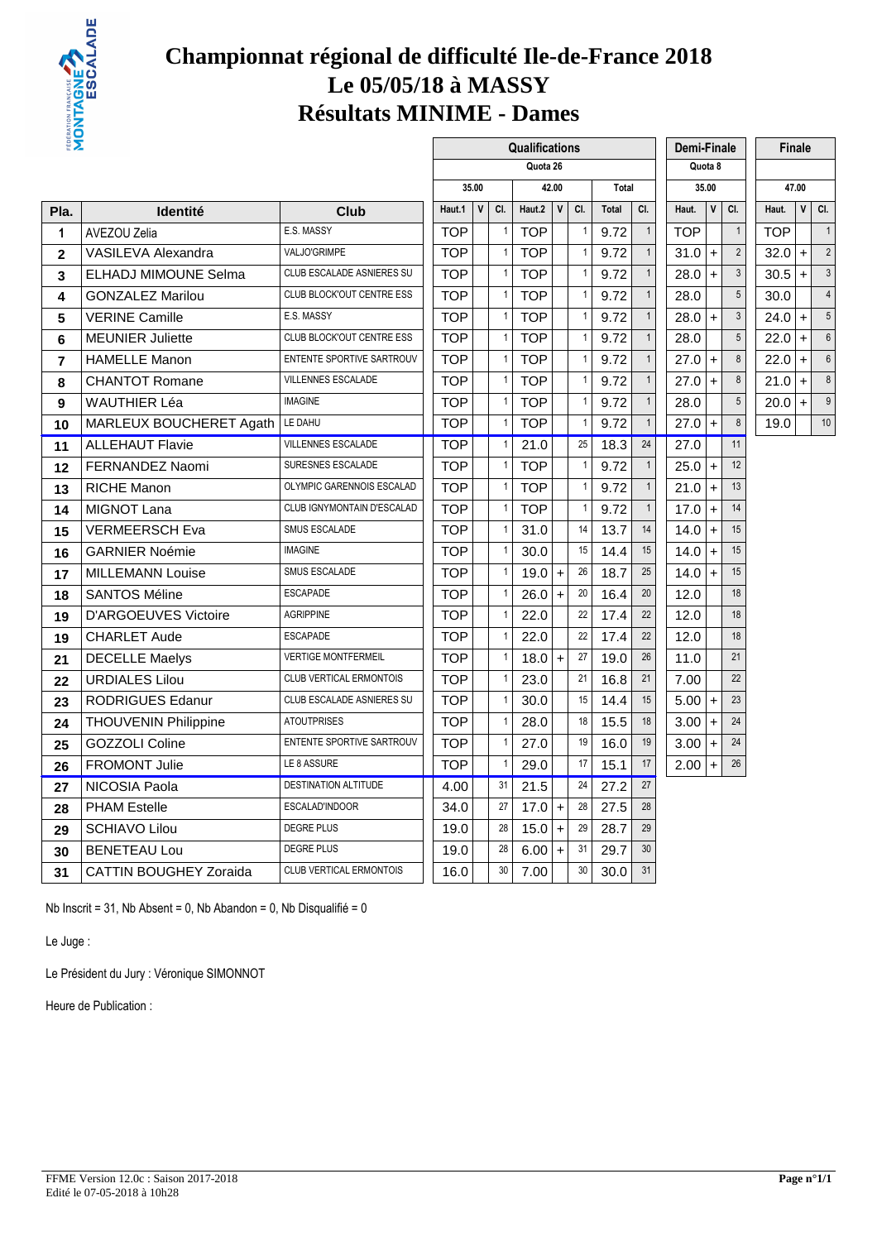

#### **Championnat régional de difficulté Ile-de-France 2018 Le 05/05/18 à MASSY Résultats MINIME - Dames**

 $\mathbf{r}$ 

| ₩Σ                      |                               |                             |            |       |              | Qualifications |       |                |       |                | Demi-Finale |              |                 |            | Finale       |                |
|-------------------------|-------------------------------|-----------------------------|------------|-------|--------------|----------------|-------|----------------|-------|----------------|-------------|--------------|-----------------|------------|--------------|----------------|
|                         |                               |                             |            |       |              | Quota 26       |       |                |       |                |             | Quota 8      |                 |            |              |                |
|                         |                               |                             |            | 35.00 |              |                | 42.00 |                | Total |                |             | 35.00        |                 |            | 47.00        |                |
| Pla.                    | <b>Identité</b>               | Club                        | Haut.1     | V     | CI.          | Haut.2         | V     | CI.            | Total | CI.            | Haut.       | $\mathsf{v}$ | CI.             | Haut.      | $\mathsf{V}$ | CI.            |
| 1                       | <b>AVEZOU Zelia</b>           | E.S. MASSY                  | <b>TOP</b> |       | 1            | <b>TOP</b>     |       | $\overline{1}$ | 9.72  | $\overline{1}$ | <b>TOP</b>  |              | $\mathbf{1}$    | <b>TOP</b> |              | $\overline{1}$ |
| $\overline{\mathbf{2}}$ | <b>VASILEVA Alexandra</b>     | VALJO'GRIMPE                | <b>TOP</b> |       | $\mathbf{1}$ | <b>TOP</b>     |       | $\mathbf{1}$   | 9.72  | $\mathbf{1}$   | 31.0        | $+$          | $\overline{2}$  | 32.0       | $\pm$        | $\tilde{z}$    |
| 3                       | <b>ELHADJ MIMOUNE Selma</b>   | CLUB ESCALADE ASNIERES SU   | <b>TOP</b> |       | $\mathbf{1}$ | <b>TOP</b>     |       | $\mathbf{1}$   | 9.72  | $\mathbf{1}$   | 28.0        | $+$          | $\mathbf{3}$    | 30.5       | $+$          | 3              |
| 4                       | <b>GONZALEZ Marilou</b>       | CLUB BLOCK'OUT CENTRE ESS   | <b>TOP</b> |       | $\mathbf{1}$ | <b>TOP</b>     |       | $\mathbf{1}$   | 9.72  | $\mathbf{1}$   | 28.0        |              | 5               | 30.0       |              | $\overline{4}$ |
| 5                       | <b>VERINE Camille</b>         | E.S. MASSY                  | <b>TOP</b> |       | $\mathbf{1}$ | <b>TOP</b>     |       | $\mathbf{1}$   | 9.72  | $\mathbf{1}$   | 28.0        | $\ddot{}$    | $\mathfrak{Z}$  | $24.0 +$   |              | 5              |
| 6                       | <b>MEUNIER Juliette</b>       | CLUB BLOCK'OUT CENTRE ESS   | <b>TOP</b> |       | $\mathbf{1}$ | <b>TOP</b>     |       | $\mathbf{1}$   | 9.72  | $\mathbf{1}$   | 28.0        |              | $\overline{5}$  | $22.0 +$   |              | $\epsilon$     |
| $\overline{7}$          | <b>HAMELLE Manon</b>          | ENTENTE SPORTIVE SARTROUV   | <b>TOP</b> |       |              | <b>TOP</b>     |       | $\overline{1}$ | 9.72  | $\mathbf{1}$   | 27.0        | $\ddot{}$    | 8               | $22.0 +$   |              | $\epsilon$     |
| 8                       | <b>CHANTOT Romane</b>         | VILLENNES ESCALADE          | <b>TOP</b> |       | 1            | <b>TOP</b>     |       | $\mathbf{1}$   | 9.72  | $\mathbf{1}$   | 27.0        | $\ddot{}$    | $\bf 8$         | $21.0 +$   |              | $\epsilon$     |
| 9                       | <b>WAUTHIER Léa</b>           | <b>IMAGINE</b>              | <b>TOP</b> |       | $\mathbf{1}$ | <b>TOP</b>     |       | $\mathbf{1}$   | 9.72  | $\mathbf{1}$   | 28.0        |              | $5\phantom{.0}$ | $20.0 +$   |              | ç              |
| 10                      | MARLEUX BOUCHERET Agath       | LE DAHU                     | <b>TOP</b> |       | $\mathbf{1}$ | <b>TOP</b>     |       | $\overline{1}$ | 9.72  | $\mathbf{1}$   | 27.0        | $+$          | 8               | 19.0       |              | 10             |
| 11                      | <b>ALLEHAUT Flavie</b>        | <b>VILLENNES ESCALADE</b>   | <b>TOP</b> |       | 1            | 21.0           |       | 25             | 18.3  | 24             | 27.0        |              | 11              |            |              |                |
| 12                      | FERNANDEZ Naomi               | SURESNES ESCALADE           | <b>TOP</b> |       | 1            | TOP            |       | $\mathbf{1}$   | 9.72  | $\mathbf{1}$   | 25.0        | $+$          | 12              |            |              |                |
| 13                      | <b>RICHE Manon</b>            | OLYMPIC GARENNOIS ESCALAD   | <b>TOP</b> |       | $\mathbf{1}$ | <b>TOP</b>     |       | $\mathbf{1}$   | 9.72  | $\mathbf{1}$   | 21.0        | $+$          | 13              |            |              |                |
| 14                      | <b>MIGNOT Lana</b>            | CLUB IGNYMONTAIN D'ESCALAD  | <b>TOP</b> |       | 1            | <b>TOP</b>     |       | $\mathbf{1}$   | 9.72  | $\mathbf{1}$   | 17.0        | $+$          | 14              |            |              |                |
| 15                      | <b>VERMEERSCH Eva</b>         | SMUS ESCALADE               | <b>TOP</b> |       | $\mathbf{1}$ | 31.0           |       | 14             | 13.7  | 14             | 14.0        | $+$          | 15              |            |              |                |
| 16                      | <b>GARNIER Noémie</b>         | <b>IMAGINE</b>              | <b>TOP</b> |       | $\mathbf{1}$ | 30.0           |       | 15             | 14.4  | 15             | 14.0        | $+$          | 15              |            |              |                |
| 17                      | <b>MILLEMANN Louise</b>       | SMUS ESCALADE               | <b>TOP</b> |       | $\mathbf{1}$ | $19.0 +$       |       | 26             | 18.7  | 25             | 14.0        | $+$          | 15              |            |              |                |
| 18                      | <b>SANTOS Méline</b>          | <b>ESCAPADE</b>             | <b>TOP</b> |       | $\mathbf{1}$ | 26.0           | $+$   | 20             | 16.4  | 20             | 12.0        |              | 18              |            |              |                |
| 19                      | <b>D'ARGOEUVES Victoire</b>   | <b>AGRIPPINE</b>            | <b>TOP</b> |       | $\mathbf{1}$ | 22.0           |       | 22             | 17.4  | 22             | 12.0        |              | 18              |            |              |                |
| 19                      | <b>CHARLET Aude</b>           | <b>ESCAPADE</b>             | <b>TOP</b> |       |              | 22.0           |       | 22             | 17.4  | 22             | 12.0        |              | 18              |            |              |                |
| 21                      | <b>DECELLE Maelys</b>         | <b>VERTIGE MONTFERMEIL</b>  | <b>TOP</b> |       | $\mathbf{1}$ | $18.0 +$       |       | 27             | 19.0  | 26             | 11.0        |              | 21              |            |              |                |
| 22                      | <b>URDIALES Lilou</b>         | CLUB VERTICAL ERMONTOIS     | <b>TOP</b> |       | $\mathbf{1}$ | 23.0           |       | 21             | 16.8  | 21             | 7.00        |              | 22              |            |              |                |
| 23                      | <b>RODRIGUES Edanur</b>       | CLUB ESCALADE ASNIERES SU   | <b>TOP</b> |       | $\mathbf{1}$ | 30.0           |       | 15             | 14.4  | 15             | 5.00        | $+$          | 23              |            |              |                |
| 24                      | THOUVENIN Philippine          | <b>ATOUTPRISES</b>          | <b>TOP</b> |       | $\mathbf{1}$ | 28.0           |       | 18             | 15.5  | 18             | 3.00        | $+$          | 24              |            |              |                |
| 25                      | <b>GOZZOLI Coline</b>         | ENTENTE SPORTIVE SARTROUV   | <b>TOP</b> |       | $\mathbf{1}$ | 27.0           |       | 19             | 16.0  | 19             | 3.00        | $+$          | 24              |            |              |                |
| 26                      | <b>FROMONT Julie</b>          | LE 8 ASSURE                 | <b>TOP</b> |       | $\mathbf{1}$ | 29.0           |       | 17             | 15.1  | 17             | 2.00        | $\ddot{}$    | 26              |            |              |                |
| 27                      | NICOSIA Paola                 | <b>DESTINATION ALTITUDE</b> | 4.00       |       | 31           | 21.5           |       | 24             | 27.2  | 27             |             |              |                 |            |              |                |
| 28                      | <b>PHAM Estelle</b>           | ESCALAD'INDOOR              | 34.0       |       | 27           | $17.0 +$       |       | 28             | 27.5  | 28             |             |              |                 |            |              |                |
| 29                      | <b>SCHIAVO Lilou</b>          | <b>DEGRE PLUS</b>           | 19.0       |       | 28           | 15.0           | $\pm$ | 29             | 28.7  | 29             |             |              |                 |            |              |                |
| 30                      | <b>BENETEAU Lou</b>           | <b>DEGRE PLUS</b>           | 19.0       |       | 28           | $6.00 +$       |       | 31             | 29.7  | 30             |             |              |                 |            |              |                |
| 31                      | <b>CATTIN BOUGHEY Zoraida</b> | CLUB VERTICAL ERMONTOIS     | 16.0       |       | 30           | 7.00           |       | 30             | 30.0  | 31             |             |              |                 |            |              |                |

Nb Inscrit = 31, Nb Absent = 0, Nb Abandon = 0, Nb Disqualifié = 0

Le Juge :

Le Président du Jury : Véronique SIMONNOT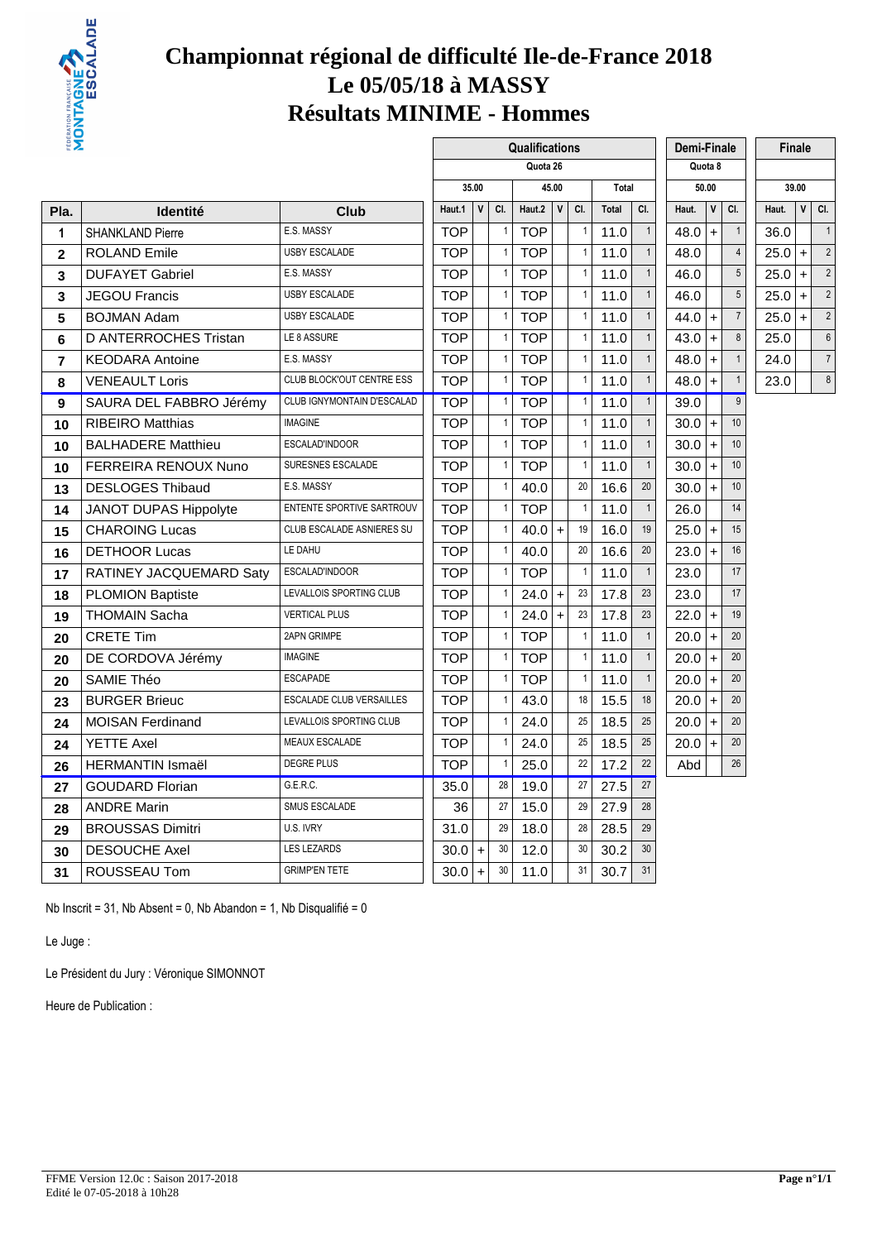

# **Championnat régional de difficulté Ile-de-France 2018 Le 05/05/18 à MASSY Résultats MINIME - Hommes**

 $\Gamma$ 

| ₩Σ             |                           |                                 |            |              |              | Qualifications |              |                |       |                | Demi-Finale |              |                 |         | Finale       |                |
|----------------|---------------------------|---------------------------------|------------|--------------|--------------|----------------|--------------|----------------|-------|----------------|-------------|--------------|-----------------|---------|--------------|----------------|
|                |                           |                                 |            |              |              | Quota 26       |              |                |       |                |             | Quota 8      |                 |         |              |                |
|                |                           |                                 |            | 35.00        |              |                | 45.00        |                | Total |                |             | 50.00        |                 |         | 39.00        |                |
| Pla.           | <b>Identité</b>           | <b>Club</b>                     | Haut.1     | $\mathsf{V}$ | CI.          | Haut.2         | $\mathsf{v}$ | CI.            | Total | CI.            | Haut.       | $\mathsf{V}$ | CI.             | Haut.   | $\mathsf{V}$ | CI.            |
| 1              | <b>SHANKLAND Pierre</b>   | E.S. MASSY                      | <b>TOP</b> |              | 1            | <b>TOP</b>     |              | $\overline{1}$ | 11.0  | $\overline{1}$ | 48.0        | $\ddot{}$    | $\mathbf{1}$    | 36.0    |              | $\overline{1}$ |
| $\mathbf{2}$   | <b>ROLAND Emile</b>       | <b>USBY ESCALADE</b>            | <b>TOP</b> |              | $\mathbf{1}$ | <b>TOP</b>     |              | $\overline{1}$ | 11.0  | $\mathbf{1}$   | 48.0        |              | $\overline{4}$  | 25.0    | $\ddot{}$    | $\tilde{z}$    |
| 3              | <b>DUFAYET Gabriel</b>    | E.S. MASSY                      | <b>TOP</b> |              | $\mathbf{1}$ | <b>TOP</b>     |              | $\mathbf{1}$   | 11.0  | $\mathbf{1}$   | 46.0        |              | 5               | 25.0    | $+$          | $\overline{2}$ |
| 3              | <b>JEGOU Francis</b>      | <b>USBY ESCALADE</b>            | <b>TOP</b> |              | $\mathbf{1}$ | <b>TOP</b>     |              | $\overline{1}$ | 11.0  | $\mathbf{1}$   | 46.0        |              | $\overline{5}$  | 25.0    | $+$          | $\tilde{2}$    |
| 5              | <b>BOJMAN Adam</b>        | <b>USBY ESCALADE</b>            | <b>TOP</b> |              | $\mathbf{1}$ | <b>TOP</b>     |              | $\overline{1}$ | 11.0  | $\mathbf{1}$   | 44.0        | $+$          | $\overline{7}$  | $25.0+$ |              | $\tilde{2}$    |
| 6              | D ANTERROCHES Tristan     | LE 8 ASSURE                     | <b>TOP</b> |              | 1            | <b>TOP</b>     |              | $\mathbf{1}$   | 11.0  | $\mathbf{1}$   | 43.0        | $\ddot{}$    | 8               | 25.0    |              | $\epsilon$     |
| $\overline{7}$ | <b>KEODARA Antoine</b>    | E.S. MASSY                      | <b>TOP</b> |              | 1            | <b>TOP</b>     |              | $\mathbf{1}$   | 11.0  | $\mathbf{1}$   | 48.0        | $\ddot{}$    | $\mathbf{1}$    | 24.0    |              | $\overline{7}$ |
| 8              | <b>VENEAULT Loris</b>     | CLUB BLOCK'OUT CENTRE ESS       | <b>TOP</b> |              |              | <b>TOP</b>     |              | $\mathbf{1}$   | 11.0  | $\mathbf{1}$   | 48.0        | $\ddot{}$    | $\mathbf{1}$    | 23.0    |              | $\epsilon$     |
| 9              | SAURA DEL FABBRO Jérémy   | CLUB IGNYMONTAIN D'ESCALAD      | <b>TOP</b> |              | $\mathbf{1}$ | <b>TOP</b>     |              | $\overline{1}$ | 11.0  | $\mathbf{1}$   | 39.0        |              | $\overline{9}$  |         |              |                |
| 10             | <b>RIBEIRO Matthias</b>   | <b>IMAGINE</b>                  | <b>TOP</b> |              | $\mathbf{1}$ | <b>TOP</b>     |              | $\mathbf{1}$   | 11.0  | $\mathbf{1}$   | 30.0        | $+$          | 10              |         |              |                |
| 10             | <b>BALHADERE Matthieu</b> | ESCALAD'INDOOR                  | <b>TOP</b> |              | $\mathbf{1}$ | <b>TOP</b>     |              | $\overline{1}$ | 11.0  | $\mathbf{1}$   | 30.0        | $+$          | 10 <sup>1</sup> |         |              |                |
| 10             | FERREIRA RENOUX Nuno      | SURESNES ESCALADE               | <b>TOP</b> |              | $\mathbf{1}$ | <b>TOP</b>     |              | $\overline{1}$ | 11.0  | $\mathbf{1}$   | 30.0        | $+$          | 10 <sup>1</sup> |         |              |                |
| 13             | <b>DESLOGES Thibaud</b>   | E.S. MASSY                      | <b>TOP</b> |              | $\mathbf{1}$ | 40.0           |              | 20             | 16.6  | 20             | 30.0        | $+$          | 10              |         |              |                |
| 14             | JANOT DUPAS Hippolyte     | ENTENTE SPORTIVE SARTROUV       | <b>TOP</b> |              | 1            | <b>TOP</b>     |              | $\overline{1}$ | 11.0  | $\overline{1}$ | 26.0        |              | 14              |         |              |                |
| 15             | <b>CHAROING Lucas</b>     | CLUB ESCALADE ASNIERES SU       | <b>TOP</b> |              | $\mathbf{1}$ | 40.0           | $\ddot{}$    | 19             | 16.0  | 19             | 25.0        | $+$          | 15              |         |              |                |
| 16             | <b>DETHOOR Lucas</b>      | LE DAHU                         | <b>TOP</b> |              | $\mathbf{1}$ | 40.0           |              | 20             | 16.6  | 20             | 23.0        | $+$          | 16              |         |              |                |
| 17             | RATINEY JACQUEMARD Saty   | ESCALAD'INDOOR                  | <b>TOP</b> |              | $\mathbf{1}$ | <b>TOP</b>     |              | $\overline{1}$ | 11.0  | $\mathbf{1}$   | 23.0        |              | 17              |         |              |                |
| 18             | <b>PLOMION Baptiste</b>   | LEVALLOIS SPORTING CLUB         | <b>TOP</b> |              | $\mathbf{1}$ | 24.0           | $+$          | 23             | 17.8  | 23             | 23.0        |              | 17              |         |              |                |
| 19             | <b>THOMAIN Sacha</b>      | <b>VERTICAL PLUS</b>            | <b>TOP</b> |              | $\mathbf{1}$ | 24.0           | $\ddot{}$    | 23             | 17.8  | 23             | 22.0        | $+$          | 19              |         |              |                |
| 20             | <b>CRETE Tim</b>          | <b>2APN GRIMPE</b>              | <b>TOP</b> |              | 1            | <b>TOP</b>     |              | $\overline{1}$ | 11.0  | $\mathbf{1}$   | 20.0        | $\ddot{}$    | 20              |         |              |                |
| 20             | DE CORDOVA Jérémy         | <b>IMAGINE</b>                  | <b>TOP</b> |              |              | <b>TOP</b>     |              | $\mathbf{1}$   | 11.0  | $\mathbf{1}$   | 20.0        | $\ddot{}$    | 20              |         |              |                |
| 20             | <b>SAMIE Théo</b>         | <b>ESCAPADE</b>                 | <b>TOP</b> |              | $\mathbf{1}$ | <b>TOP</b>     |              | $\overline{1}$ | 11.0  | $\mathbf{1}$   | 20.0        | $+$          | 20              |         |              |                |
| 23             | <b>BURGER Brieuc</b>      | <b>ESCALADE CLUB VERSAILLES</b> | <b>TOP</b> |              | $\mathbf{1}$ | 43.0           |              | 18             | 15.5  | 18             | 20.0        | $+$          | 20              |         |              |                |
| 24             | <b>MOISAN Ferdinand</b>   | LEVALLOIS SPORTING CLUB         | <b>TOP</b> |              | $\mathbf{1}$ | 24.0           |              | 25             | 18.5  | 25             | 20.0        | $+$          | 20              |         |              |                |
| 24             | <b>YETTE Axel</b>         | MEAUX ESCALADE                  | <b>TOP</b> |              | $\mathbf{1}$ | 24.0           |              | 25             | 18.5  | 25             | 20.0        | $+$          | 20              |         |              |                |
| 26             | <b>HERMANTIN Ismaël</b>   | <b>DEGRE PLUS</b>               | <b>TOP</b> |              |              | 25.0           |              | 22             | 17.2  | 22             | Abd         |              | 26              |         |              |                |
| 27             | <b>GOUDARD Florian</b>    | G.E.R.C.                        | 35.0       |              | 28           | 19.0           |              | 27             | 27.5  | 27             |             |              |                 |         |              |                |
| 28             | <b>ANDRE Marin</b>        | SMUS ESCALADE                   | 36         |              | 27           | 15.0           |              | 29             | 27.9  | 28             |             |              |                 |         |              |                |
| 29             | <b>BROUSSAS Dimitri</b>   | U.S. IVRY                       | 31.0       |              | 29           | 18.0           |              | 28             | 28.5  | 29             |             |              |                 |         |              |                |
| 30             | <b>DESOUCHE Axel</b>      | <b>LES LEZARDS</b>              | 30.0       | $+$          | 30           | 12.0           |              | 30             | 30.2  | 30             |             |              |                 |         |              |                |
| 31             | ROUSSEAU Tom              | <b>GRIMP'EN TETE</b>            | 30.0       | $+$          | 30           | 11.0           |              | 31             | 30.7  | 31             |             |              |                 |         |              |                |
|                |                           |                                 |            |              |              |                |              |                |       |                |             |              |                 |         |              |                |

Nb Inscrit = 31, Nb Absent = 0, Nb Abandon = 1, Nb Disqualifié = 0

Le Juge :

Le Président du Jury : Véronique SIMONNOT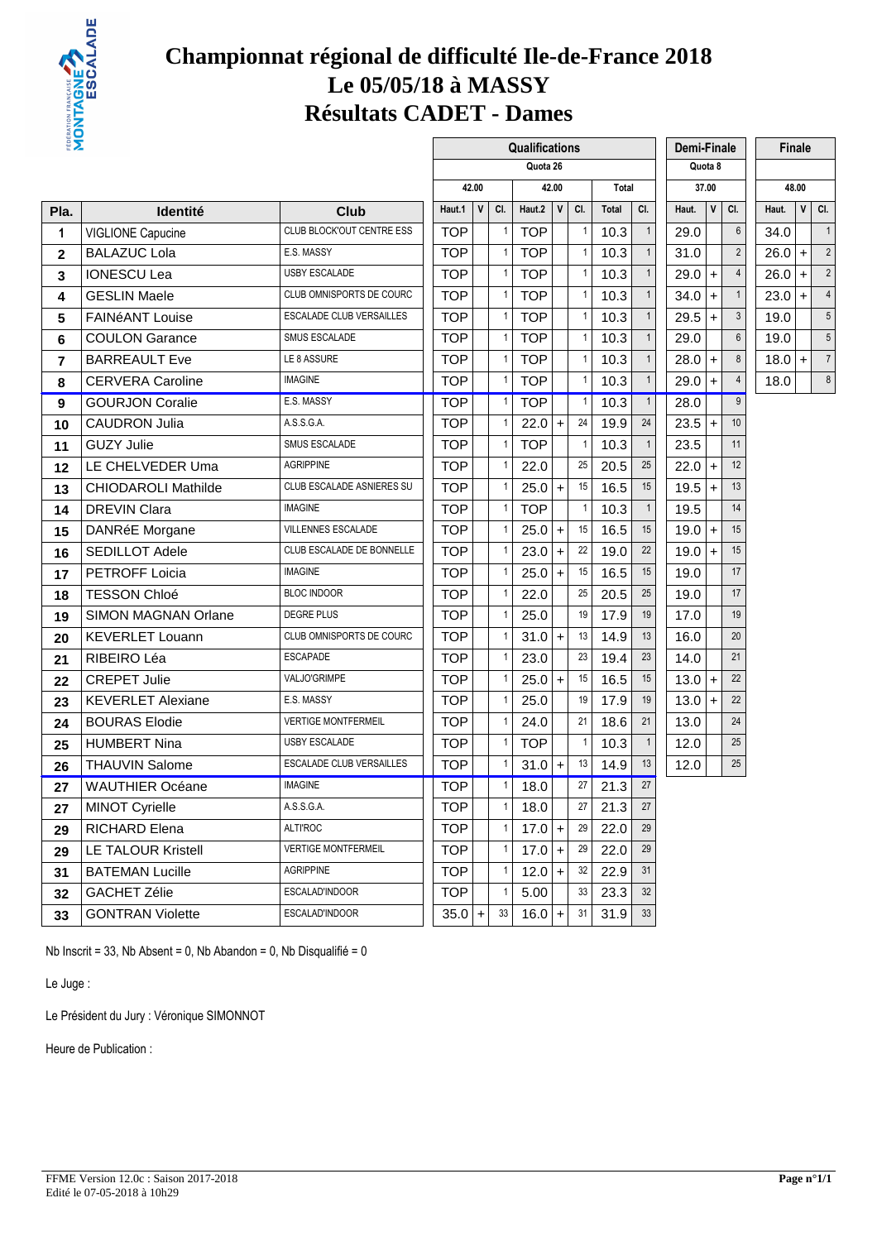

#### **Championnat régional de difficulté Ile-de-France 2018 Le 05/05/18 à MASSY Résultats CADET - Dames**

| ËΣ             |                            |                                 |            |       |              |                | Qualifications |              |                |       |              | Demi-Finale |              |                |          | Finale               |                          |
|----------------|----------------------------|---------------------------------|------------|-------|--------------|----------------|----------------|--------------|----------------|-------|--------------|-------------|--------------|----------------|----------|----------------------|--------------------------|
|                |                            |                                 |            |       |              |                | Quota 26       |              |                |       |              |             | Quota 8      |                |          |                      |                          |
|                |                            |                                 |            | 42.00 |              |                |                | 42.00        |                | Total |              |             | 37.00        |                |          | 48.00                |                          |
| Pla.           | <b>Identité</b>            | Club                            | Haut.1     |       | $\mathsf{V}$ | CI.            | Haut.2         | $\mathsf{V}$ | CI.            | Total | CI.          | Haut.       | $\mathsf{v}$ | CI.            | Haut.    | $\mathsf{v}$         | CI.                      |
| 1              | VIGLIONE Capucine          | CLUB BLOCK'OUT CENTRE ESS       | <b>TOP</b> |       |              | 1              | <b>TOP</b>     |              | $\mathbf{1}$   | 10.3  | $\mathbf{1}$ | 29.0        |              | $6\,$          | 34.0     |                      | $\overline{1}$           |
| $\mathbf{2}$   | <b>BALAZUC Lola</b>        | E.S. MASSY                      | <b>TOP</b> |       |              | $\mathbf{1}$   | <b>TOP</b>     |              | $\mathbf{1}$   | 10.3  | $\mathbf{1}$ | 31.0        |              | $\overline{2}$ | 26.0     | $\ddot{\phantom{1}}$ | $\tilde{2}$              |
| 3              | <b>IONESCU Lea</b>         | <b>USBY ESCALADE</b>            | <b>TOP</b> |       |              | 1              | TOP            |              | $\mathbf{1}$   | 10.3  | $\mathbf{1}$ | 29.0        | $+$          | $\overline{4}$ | $26.0+$  |                      | $\overline{2}$           |
| 4              | <b>GESLIN Maele</b>        | CLUB OMNISPORTS DE COURC        | <b>TOP</b> |       |              |                | <b>TOP</b>     |              | -1             | 10.3  | $\mathbf{1}$ | 34.0        | $+$          | $\mathbf{1}$   | 23.0     | $+$                  | $\overline{\mathcal{L}}$ |
| 5              | <b>FAINéANT Louise</b>     | ESCALADE CLUB VERSAILLES        | <b>TOP</b> |       |              |                | <b>TOP</b>     |              | $\mathbf{1}$   | 10.3  | $\mathbf{1}$ | 29.5        | $\ddot{}$    | $\mathbf{3}$   | 19.0     |                      | 5                        |
| 6              | <b>COULON Garance</b>      | SMUS ESCALADE                   | <b>TOP</b> |       |              | 1              | <b>TOP</b>     |              | $\mathbf{1}$   | 10.3  | $\mathbf{1}$ | 29.0        |              | $6\,$          | 19.0     |                      | 5                        |
| $\overline{7}$ | <b>BARREAULT Eve</b>       | LE 8 ASSURE                     | <b>TOP</b> |       |              | 1              | <b>TOP</b>     |              | $\mathbf{1}$   | 10.3  | $\mathbf{1}$ | 28.0        | $\ddot{}$    | $\bf 8$        | $18.0 +$ |                      | $\overline{7}$           |
| 8              | <b>CERVERA Caroline</b>    | <b>IMAGINE</b>                  | <b>TOP</b> |       |              | 1              | <b>TOP</b>     |              | $\mathbf{1}$   | 10.3  | $\mathbf{1}$ | 29.0        | $\ddot{}$    | 4              | 18.0     |                      | $\epsilon$               |
| 9              | <b>GOURJON Coralie</b>     | E.S. MASSY                      | <b>TOP</b> |       |              | 1              | <b>TOP</b>     |              | $\mathbf{1}$   | 10.3  | $\mathbf{1}$ | 28.0        |              | 9              |          |                      |                          |
| 10             | <b>CAUDRON Julia</b>       | A.S.S.G.A.                      | <b>TOP</b> |       |              |                | $22.0 +$       |              | 24             | 19.9  | 24           | 23.5        | $\ddot{}$    | 10             |          |                      |                          |
| 11             | <b>GUZY Julie</b>          | SMUS ESCALADE                   | <b>TOP</b> |       |              | $\mathbf{1}$   | <b>TOP</b>     |              | $\mathbf{1}$   | 10.3  | $\mathbf{1}$ | 23.5        |              | 11             |          |                      |                          |
| 12             | LE CHELVEDER Uma           | <b>AGRIPPINE</b>                | <b>TOP</b> |       |              | 1              | 22.0           |              | 25             | 20.5  | 25           | $22.0 +$    |              | 12             |          |                      |                          |
| 13             | <b>CHIODAROLI Mathilde</b> | CLUB ESCALADE ASNIERES SU       | <b>TOP</b> |       |              | 1              | $25.0+$        |              | 15             | 16.5  | 15           | 19.5        | $\ddot{}$    | 13             |          |                      |                          |
| 14             | <b>DREVIN Clara</b>        | <b>IMAGINE</b>                  | <b>TOP</b> |       |              | $\mathbf{1}$   | <b>TOP</b>     |              | $\overline{1}$ | 10.3  | $\mathbf{1}$ | 19.5        |              | 14             |          |                      |                          |
| 15             | DANRéE Morgane             | VILLENNES ESCALADE              | <b>TOP</b> |       |              |                | $25.0+$        |              | 15             | 16.5  | 15           | 19.0        | $+$          | 15             |          |                      |                          |
| 16             | SEDILLOT Adele             | CLUB ESCALADE DE BONNELLE       | <b>TOP</b> |       |              |                | $23.0 +$       |              | 22             | 19.0  | 22           | 19.0        | $+$          | 15             |          |                      |                          |
| 17             | <b>PETROFF Loicia</b>      | <b>IMAGINE</b>                  | <b>TOP</b> |       |              | $\mathbf{1}$   | $25.0 +$       |              | 15             | 16.5  | 15           | 19.0        |              | 17             |          |                      |                          |
| 18             | <b>TESSON Chloé</b>        | <b>BLOC INDOOR</b>              | <b>TOP</b> |       |              |                | 22.0           |              | 25             | 20.5  | 25           | 19.0        |              | 17             |          |                      |                          |
| 19             | SIMON MAGNAN Orlane        | <b>DEGRE PLUS</b>               | <b>TOP</b> |       |              | $\mathbf{1}$   | 25.0           |              | 19             | 17.9  | 19           | 17.0        |              | 19             |          |                      |                          |
| 20             | <b>KEVERLET Louann</b>     | CLUB OMNISPORTS DE COURC        | <b>TOP</b> |       |              | 1              | $31.0 +$       |              | 13             | 14.9  | 13           | 16.0        |              | 20             |          |                      |                          |
| 21             | RIBEIRO Léa                | <b>ESCAPADE</b>                 | <b>TOP</b> |       |              |                | 23.0           |              | 23             | 19.4  | 23           | 14.0        |              | 21             |          |                      |                          |
| 22             | <b>CREPET Julie</b>        | VALJO'GRIMPE                    | <b>TOP</b> |       |              |                | $25.0 +$       |              | 15             | 16.5  | 15           | 13.0        | $+$          | 22             |          |                      |                          |
| 23             | <b>KEVERLET Alexiane</b>   | E.S. MASSY                      | <b>TOP</b> |       |              | 1              | 25.0           |              | 19             | 17.9  | 19           | 13.0        | $+$          | 22             |          |                      |                          |
| 24             | <b>BOURAS Elodie</b>       | <b>VERTIGE MONTFERMEIL</b>      | <b>TOP</b> |       |              | $\mathbf{1}$   | 24.0           |              | 21             | 18.6  | 21           | 13.0        |              | 24             |          |                      |                          |
| 25             | <b>HUMBERT Nina</b>        | <b>USBY ESCALADE</b>            | <b>TOP</b> |       |              | 1              | <b>TOP</b>     |              | $\mathbf{1}$   | 10.3  | $\mathbf{1}$ | 12.0        |              | 25             |          |                      |                          |
| 26             | <b>THAUVIN Salome</b>      | <b>ESCALADE CLUB VERSAILLES</b> | <b>TOP</b> |       |              |                | $31.0 +$       |              | 13             | 14.9  | 13           | 12.0        |              | 25             |          |                      |                          |
| 27             | <b>WAUTHIER Océane</b>     | <b>IMAGINE</b>                  | <b>TOP</b> |       |              | $\mathbf{1}$   | 18.0           |              | 27             | 21.3  | 27           |             |              |                |          |                      |                          |
| 27             | <b>MINOT Cyrielle</b>      | A.S.S.G.A.                      | TOP        |       |              | 1              | 18.0           |              | 27             | 21.3  | 27           |             |              |                |          |                      |                          |
| 29             | RICHARD Elena              | <b>ALTI'ROC</b>                 | <b>TOP</b> |       |              | 1 <sup>1</sup> | $17.0 +$       |              | 29             | 22.0  | 29           |             |              |                |          |                      |                          |
| 29             | <b>LE TALOUR Kristell</b>  | <b>VERTIGE MONTFERMEIL</b>      | <b>TOP</b> |       |              | 1              | $17.0 +$       |              | 29             | 22.0  | 29           |             |              |                |          |                      |                          |
| 31             | <b>BATEMAN Lucille</b>     | AGRIPPINE                       | <b>TOP</b> |       |              | 1              | $12.0 +$       |              | 32             | 22.9  | 31           |             |              |                |          |                      |                          |
| 32             | <b>GACHET Zélie</b>        | ESCALAD'INDOOR                  | <b>TOP</b> |       |              |                | 5.00           |              | 33             | 23.3  | 32           |             |              |                |          |                      |                          |
| 33             | <b>GONTRAN Violette</b>    | ESCALAD'INDOOR                  | 35.0       |       | $+$          | 33             | $16.0 +$       |              | 31             | 31.9  | 33           |             |              |                |          |                      |                          |

Nb Inscrit = 33, Nb Absent = 0, Nb Abandon = 0, Nb Disqualifié = 0

Le Juge :

Le Président du Jury : Véronique SIMONNOT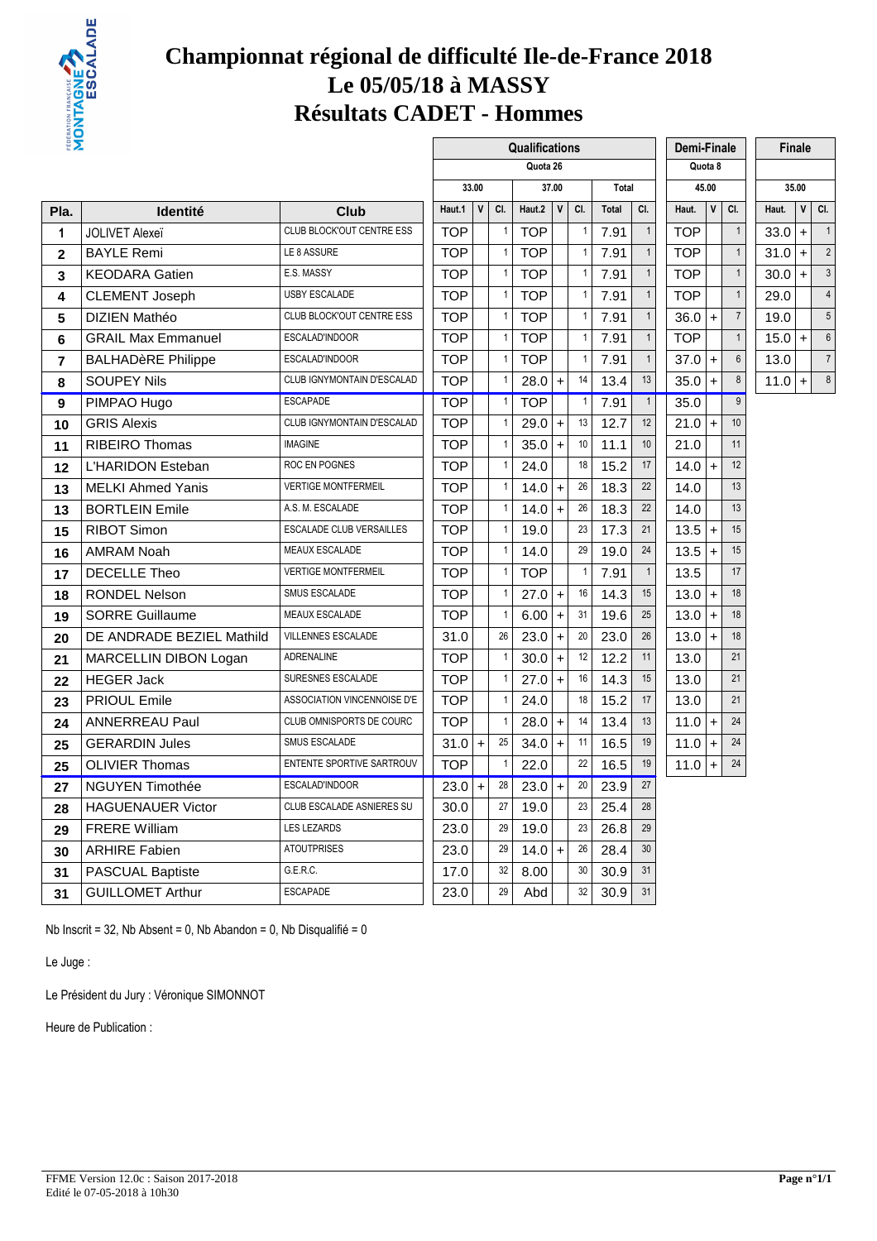

#### **Championnat régional de difficulté Ile-de-France 2018 Le 05/05/18 à MASSY Résultats CADET - Hommes**

| ËΣ             |                           |                             |            |              |              | Qualifications |              |                |              |                | Demi-Finale |              |                  |          | <b>Finale</b> |                |
|----------------|---------------------------|-----------------------------|------------|--------------|--------------|----------------|--------------|----------------|--------------|----------------|-------------|--------------|------------------|----------|---------------|----------------|
|                |                           |                             |            |              |              | Quota 26       |              |                |              |                |             | Quota 8      |                  |          |               |                |
|                |                           |                             |            | 33.00        |              |                | 37.00        |                | Total        |                |             | 45.00        |                  |          | 35.00         |                |
| Pla.           | <b>Identité</b>           | Club                        | Haut.1     | $\mathsf{V}$ | CI.          | Haut.2         | $\mathsf{v}$ | CI.            | <b>Total</b> | CI.            | Haut.       | $\mathsf{V}$ | CI.              | Haut.    | $\mathsf{V}$  | CI.            |
| $\mathbf{1}$   | <b>JOLIVET Alexeï</b>     | CLUB BLOCK'OUT CENTRE ESS   | <b>TOP</b> |              | 1            | <b>TOP</b>     |              | $\mathbf{1}$   | 7.91         | $\mathbf{1}$   | <b>TOP</b>  |              | $\mathbf{1}$     | 33.0     | $\ddot{}$     | $\overline{1}$ |
| $\mathbf 2$    | <b>BAYLE Remi</b>         | LE 8 ASSURE                 | <b>TOP</b> |              | $\mathbf{1}$ | <b>TOP</b>     |              | $\mathbf{1}$   | 7.91         | $\mathbf{1}$   | <b>TOP</b>  |              | $\mathbf{1}$     | 31.0     | $\pm$         | 2              |
| 3              | <b>KEODARA Gatien</b>     | E.S. MASSY                  | <b>TOP</b> |              | 1            | <b>TOP</b>     |              | $\mathbf{1}$   | 7.91         | $\mathbf{1}$   | <b>TOP</b>  |              | $\mathbf{1}$     | $30.0 +$ |               | $\mathbf{c}$   |
| 4              | <b>CLEMENT Joseph</b>     | <b>USBY ESCALADE</b>        | <b>TOP</b> |              | 1            | <b>TOP</b>     |              | $\mathbf{1}$   | 7.91         | $\mathbf{1}$   | <b>TOP</b>  |              | $\mathbf{1}$     | 29.0     |               | $\overline{4}$ |
| 5              | DIZIEN Mathéo             | CLUB BLOCK'OUT CENTRE ESS   | <b>TOP</b> |              | $\mathbf{1}$ | <b>TOP</b>     |              | $\mathbf{1}$   | 7.91         | $\mathbf{1}$   | 36.0        | $+$          | $\overline{7}$   | 19.0     |               | 5              |
| 6              | <b>GRAIL Max Emmanuel</b> | ESCALAD'INDOOR              | <b>TOP</b> |              | 1            | <b>TOP</b>     |              | $\mathbf{1}$   | 7.91         | $\mathbf{1}$   | <b>TOP</b>  |              | $\mathbf{1}$     | $15.0 +$ |               | $\epsilon$     |
| $\overline{7}$ | <b>BALHADèRE Philippe</b> | ESCALAD'INDOOR              | <b>TOP</b> |              | 1            | <b>TOP</b>     |              | $\mathbf{1}$   | 7.91         | $\mathbf{1}$   | 37.0        | $+$          | $6\overline{6}$  | 13.0     |               | $\overline{7}$ |
| 8              | <b>SOUPEY Nils</b>        | CLUB IGNYMONTAIN D'ESCALAD  | <b>TOP</b> |              | $\mathbf{1}$ | 28.0           | $+$          | 14             | 13.4         | 13             | 35.0        | $+$          | 8                | $11.0 +$ |               | $\epsilon$     |
| 9              | PIMPAO Hugo               | <b>ESCAPADE</b>             | <b>TOP</b> |              | $\mathbf{1}$ | <b>TOP</b>     |              | $\overline{1}$ | 7.91         | $\overline{1}$ | 35.0        |              | $\overline{9}$   |          |               |                |
| 10             | <b>GRIS Alexis</b>        | CLUB IGNYMONTAIN D'ESCALAD  | <b>TOP</b> |              | $\mathbf{1}$ | 29.0           | $\ddot{}$    | 13             | 12.7         | 12             | 21.0        | $+$          | 10 <sup>10</sup> |          |               |                |
| 11             | <b>RIBEIRO Thomas</b>     | <b>IMAGINE</b>              | <b>TOP</b> |              | $\mathbf{1}$ | 35.0           | $\ddot{}$    | 10             | 11.1         | 10             | 21.0        |              | 11               |          |               |                |
| 12             | L'HARIDON Esteban         | ROC EN POGNES               | <b>TOP</b> |              | $\mathbf{1}$ | 24.0           |              | 18             | 15.2         | 17             | 14.0        | $\ddot{}$    | 12               |          |               |                |
| 13             | <b>MELKI Ahmed Yanis</b>  | <b>VERTIGE MONTFERMEIL</b>  | <b>TOP</b> |              | $\mathbf{1}$ | 14.0           | $\ddot{}$    | 26             | 18.3         | 22             | 14.0        |              | 13               |          |               |                |
| 13             | <b>BORTLEIN Emile</b>     | A.S. M. ESCALADE            | <b>TOP</b> |              | 1            | 14.0           | $+$          | 26             | 18.3         | 22             | 14.0        |              | 13               |          |               |                |
| 15             | <b>RIBOT Simon</b>        | ESCALADE CLUB VERSAILLES    | <b>TOP</b> |              | $\mathbf{1}$ | 19.0           |              | 23             | 17.3         | 21             | 13.5        | $+$          | 15               |          |               |                |
| 16             | <b>AMRAM Noah</b>         | MEAUX ESCALADE              | <b>TOP</b> |              | $\mathbf{1}$ | 14.0           |              | 29             | 19.0         | 24             | 13.5        | $+$          | 15               |          |               |                |
| 17             | <b>DECELLE Theo</b>       | <b>VERTIGE MONTFERMEIL</b>  | <b>TOP</b> |              | 1            | <b>TOP</b>     |              | $\overline{1}$ | 7.91         | $\mathbf{1}$   | 13.5        |              | 17               |          |               |                |
| 18             | <b>RONDEL Nelson</b>      | SMUS ESCALADE               | <b>TOP</b> |              | $\mathbf{1}$ | 27.0           | $+$          | 16             | 14.3         | 15             | 13.0        | $+$          | 18               |          |               |                |
| 19             | <b>SORRE Guillaume</b>    | <b>MEAUX ESCALADE</b>       | <b>TOP</b> |              | $\mathbf{1}$ | 6.00           | $\ddot{+}$   | 31             | 19.6         | 25             | 13.0        | $+$          | 18               |          |               |                |
| 20             | DE ANDRADE BEZIEL Mathild | VILLENNES ESCALADE          | 31.0       |              | 26           | 23.0           | $\ddot{}$    | 20             | 23.0         | 26             | 13.0        | $+$          | 18               |          |               |                |
| 21             | MARCELLIN DIBON Logan     | <b>ADRENALINE</b>           | <b>TOP</b> |              | $\mathbf{1}$ | 30.0           | $\ddot{}$    | 12             | 12.2         | 11             | 13.0        |              | 21               |          |               |                |
| 22             | <b>HEGER Jack</b>         | SURESNES ESCALADE           | <b>TOP</b> |              | $\mathbf{1}$ | 27.0           | $\ddot{}$    | 16             | 14.3         | 15             | 13.0        |              | 21               |          |               |                |
| 23             | <b>PRIOUL Emile</b>       | ASSOCIATION VINCENNOISE D'E | <b>TOP</b> |              | $\mathbf{1}$ | 24.0           |              | 18             | 15.2         | 17             | 13.0        |              | 21               |          |               |                |
| 24             | <b>ANNERREAU Paul</b>     | CLUB OMNISPORTS DE COURC    | <b>TOP</b> |              | $\mathbf{1}$ | 28.0           | $\ddot{}$    | 14             | 13.4         | 13             | 11.0        | $+$          | 24               |          |               |                |
| 25             | <b>GERARDIN Jules</b>     | SMUS ESCALADE               | 31.0       | $\ddot{}$    | 25           | 34.0           | $+$          | 11             | 16.5         | 19             | 11.0        | $\ddot{}$    | 24               |          |               |                |
| 25             | <b>OLIVIER Thomas</b>     | ENTENTE SPORTIVE SARTROUV   | <b>TOP</b> |              | $\mathbf{1}$ | 22.0           |              | 22             | 16.5         | 19             | 11.0        | $\ddot{}$    | 24               |          |               |                |
| 27             | <b>NGUYEN Timothée</b>    | ESCALAD'INDOOR              | 23.0       | $+$          | 28           | 23.0           | $\ddot{}$    | 20             | 23.9         | 27             |             |              |                  |          |               |                |
| 28             | <b>HAGUENAUER Victor</b>  | CLUB ESCALADE ASNIERES SU   | 30.0       |              | 27           | 19.0           |              | 23             | 25.4         | 28             |             |              |                  |          |               |                |
| 29             | <b>FRERE William</b>      | <b>LES LEZARDS</b>          | 23.0       |              | 29           | 19.0           |              | 23             | 26.8         | 29             |             |              |                  |          |               |                |
| 30             | <b>ARHIRE Fabien</b>      | <b>ATOUTPRISES</b>          | 23.0       |              | 29           | 14.0           | $\ddot{}$    | 26             | 28.4         | 30             |             |              |                  |          |               |                |
| 31             | PASCUAL Baptiste          | G.E.R.C.                    | 17.0       |              | 32           | 8.00           |              | 30             | 30.9         | 31             |             |              |                  |          |               |                |
| 31             | <b>GUILLOMET Arthur</b>   | <b>ESCAPADE</b>             | 23.0       |              | 29           | Abd            |              | 32             | 30.9         | 31             |             |              |                  |          |               |                |

Nb Inscrit = 32, Nb Absent = 0, Nb Abandon = 0, Nb Disqualifié = 0

Le Juge :

Le Président du Jury : Véronique SIMONNOT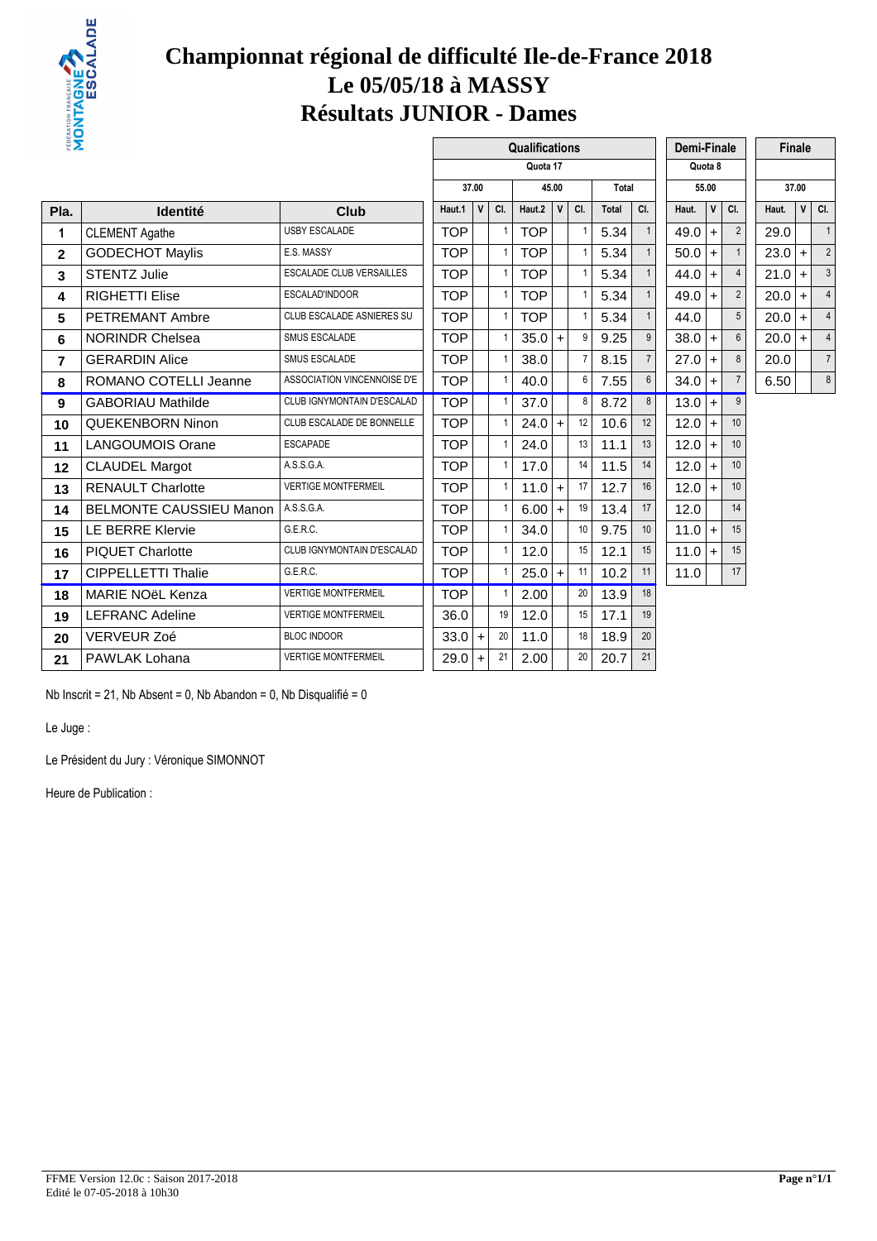

# **Championnat régional de difficulté Ile-de-France 2018 Le 05/05/18 à MASSY Résultats JUNIOR - Dames**

| ₩Σ             |                                |                             |            |              |              | Qualifications |                      |                |              |                 | Demi-Finale |              |                  |          | <b>Finale</b>        |                          |
|----------------|--------------------------------|-----------------------------|------------|--------------|--------------|----------------|----------------------|----------------|--------------|-----------------|-------------|--------------|------------------|----------|----------------------|--------------------------|
|                |                                |                             |            |              |              | Quota 17       |                      |                |              |                 |             | Quota 8      |                  |          |                      |                          |
|                |                                |                             |            | 37.00        |              |                | 45.00                |                | Total        |                 |             | 55.00        |                  |          | 37.00                |                          |
| Pla.           | <b>Identité</b>                | Club                        | Haut.1     | $\mathbf{V}$ | CI.          | Haut.2         | $\mathsf{V}$         | CI.            | <b>Total</b> | CI.             | Haut.       | $\mathsf{V}$ | CI.              | Haut.    |                      | $V$ CI.                  |
| 1              | <b>CLEMENT Agathe</b>          | <b>USBY ESCALADE</b>        | <b>TOP</b> |              | $\mathbf{1}$ | TOP            |                      | $\mathbf{1}$   | 5.34         | $\mathbf{1}$    | 49.0        | $+$          | $\overline{2}$   | 29.0     |                      | $\overline{1}$           |
| $\mathbf{2}$   | <b>GODECHOT Maylis</b>         | E.S. MASSY                  | <b>TOP</b> |              | $\mathbf{1}$ | <b>TOP</b>     |                      | $\overline{1}$ | 5.34         | $\mathbf{1}$    | 50.0        | $+$          | $\mathbf{1}$     | $23.0 +$ |                      | 2                        |
| 3              | <b>STENTZ Julie</b>            | ESCALADE CLUB VERSAILLES    | <b>TOP</b> |              | $\mathbf{1}$ | <b>TOP</b>     |                      | $\overline{1}$ | 5.34         | $\mathbf{1}$    | 44.0        | $+$          | $\overline{4}$   | $21.0 +$ |                      | 3                        |
| 4              | <b>RIGHETTI Elise</b>          | ESCALAD'INDOOR              | <b>TOP</b> |              | $\mathbf{1}$ | <b>TOP</b>     |                      | $\mathbf{1}$   | 5.34         | $\mathbf{1}$    | 49.0        | $+$          | $\overline{2}$   | $20.0$ + |                      |                          |
| 5              | <b>PETREMANT Ambre</b>         | CLUB ESCALADE ASNIERES SU   | <b>TOP</b> |              | $\mathbf{1}$ | <b>TOP</b>     |                      | $\overline{1}$ | 5.34         | $\mathbf{1}$    | 44.0        |              | 5                | 20.0     | $\ddot{\phantom{1}}$ | $\overline{4}$           |
| 6              | <b>NORINDR Chelsea</b>         | <b>SMUS ESCALADE</b>        | <b>TOP</b> |              | $\mathbf{1}$ | 35.0           | $\ddot{}$            | 9              | 9.25         | $\mathbf{q}$    | 38.0        | $+$          | $6\phantom{1}$   | $20.0 +$ |                      | $\overline{\mathcal{L}}$ |
| $\overline{7}$ | <b>GERARDIN Alice</b>          | <b>SMUS ESCALADE</b>        | <b>TOP</b> |              | $\mathbf{1}$ | 38.0           |                      | $\overline{7}$ | 8.15         | $\overline{7}$  | 27.0        | $+$          | 8                | 20.0     |                      | $\overline{7}$           |
| 8              | ROMANO COTELLI Jeanne          | ASSOCIATION VINCENNOISE D'E | <b>TOP</b> |              | $\mathbf{1}$ | 40.0           |                      | 6              | 7.55         | $6\overline{6}$ | 34.0        |              | $\overline{7}$   | 6.50     |                      | 8                        |
| 9              | <b>GABORIAU Mathilde</b>       | CLUB IGNYMONTAIN D'ESCALAD  | <b>TOP</b> |              | $\mathbf{1}$ | 37.0           |                      | 8              | 8.72         | 8               | 13.0        | $+$          | 9                |          |                      |                          |
| 10             | <b>QUEKENBORN Ninon</b>        | CLUB ESCALADE DE BONNELLE   | <b>TOP</b> |              | $\mathbf{1}$ | 24.0           | $\ddot{+}$           | 12             | 10.6         | 12              | 12.0        | $+$          | 10 <sup>10</sup> |          |                      |                          |
| 11             | <b>LANGOUMOIS Orane</b>        | <b>ESCAPADE</b>             | <b>TOP</b> |              | $\mathbf{1}$ | 24.0           |                      | 13             | 11.1         | 13              | 12.0        | $+$          | 10 <sup>10</sup> |          |                      |                          |
| 12             | <b>CLAUDEL Margot</b>          | A.S.S.G.A.                  | <b>TOP</b> |              | $\mathbf{1}$ | 17.0           |                      | 14             | 11.5         | 14              | 12.0        | $+$          | 10               |          |                      |                          |
| 13             | <b>RENAULT Charlotte</b>       | <b>VERTIGE MONTFERMEIL</b>  | <b>TOP</b> |              | $\mathbf{1}$ | 11.0           | $\ddot{\phantom{1}}$ | 17             | 12.7         | 16              | 12.0        | $+$          | 10               |          |                      |                          |
| 14             | <b>BELMONTE CAUSSIEU Manon</b> | A.S.S.G.A.                  | <b>TOP</b> |              | $\mathbf{1}$ | 6.00           | $\ddot{+}$           | 19             | 13.4         | 17              | 12.0        |              | 14               |          |                      |                          |
| 15             | <b>LE BERRE Klervie</b>        | G.E.R.C.                    | <b>TOP</b> |              | $\mathbf{1}$ | 34.0           |                      | 10             | 9.75         | 10              | 11.0        | $+$          | 15               |          |                      |                          |
| 16             | <b>PIQUET Charlotte</b>        | CLUB IGNYMONTAIN D'ESCALAD  | <b>TOP</b> |              | $\mathbf{1}$ | 12.0           |                      | 15             | 12.1         | 15              | 11.0        | $+$          | 15               |          |                      |                          |
| 17             | <b>CIPPELLETTI Thalie</b>      | G.E.R.C.                    | <b>TOP</b> |              |              | 25.0           | $\ddot{}$            | 11             | 10.2         | 11              | 11.0        |              | 17               |          |                      |                          |
| 18             | MARIE NOëL Kenza               | <b>VERTIGE MONTFERMEIL</b>  | <b>TOP</b> |              | $\mathbf{1}$ | 2.00           |                      | 20             | 13.9         | 18              |             |              |                  |          |                      |                          |
| 19             | <b>LEFRANC Adeline</b>         | <b>VERTIGE MONTFERMEIL</b>  | 36.0       |              | 19           | 12.0           |                      | 15             | 17.1         | 19              |             |              |                  |          |                      |                          |
| 20             | <b>VERVEUR Zoé</b>             | <b>BLOC INDOOR</b>          | 33.0       | $+$          | 20           | 11.0           |                      | 18             | 18.9         | 20              |             |              |                  |          |                      |                          |
| 21             | PAWLAK Lohana                  | <b>VERTIGE MONTFERMEIL</b>  | 29.0       | $+$          | 21           | 2.00           |                      | 20             | 20.7         | 21              |             |              |                  |          |                      |                          |

Nb Inscrit = 21, Nb Absent = 0, Nb Abandon = 0, Nb Disqualifié = 0

Le Juge :

Le Président du Jury : Véronique SIMONNOT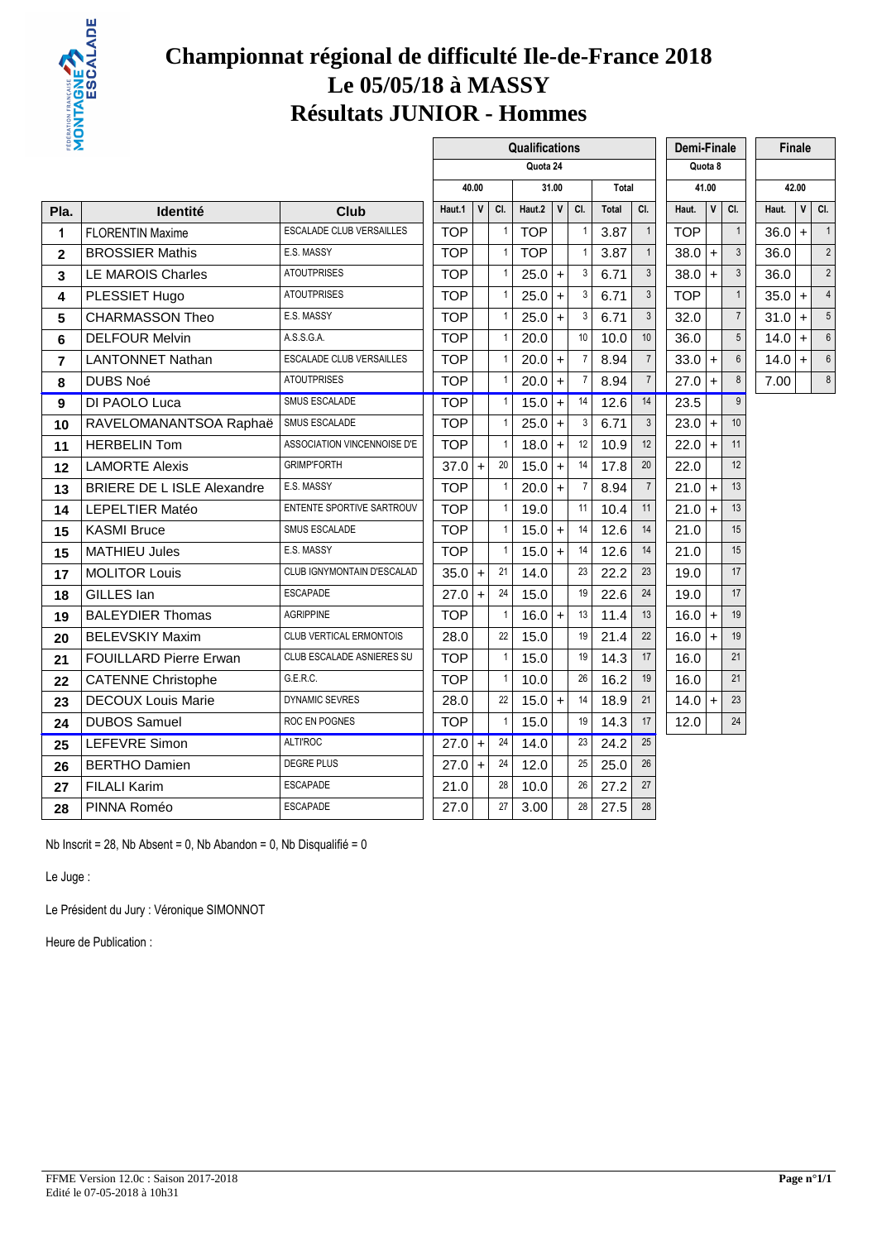

# **Championnat régional de difficulté Ile-de-France 2018 Le 05/05/18 à MASSY Résultats JUNIOR - Hommes**

| ₩Σ             |                                   |                                 |            |              |              | Qualifications |              |              |              |                | Demi-Finale |              |                 |          | Finale |                            |
|----------------|-----------------------------------|---------------------------------|------------|--------------|--------------|----------------|--------------|--------------|--------------|----------------|-------------|--------------|-----------------|----------|--------|----------------------------|
|                |                                   |                                 |            |              |              | Quota 24       |              |              |              |                |             | Quota 8      |                 |          |        |                            |
|                |                                   |                                 |            | 40.00        |              |                | 31.00        |              | Total        |                |             | 41.00        |                 |          | 42.00  |                            |
| Pla.           | Identité                          | <b>Club</b>                     | Haut.1     | $\mathsf{v}$ | CI.          | Haut.2 $ $     | $\mathsf{V}$ | CI.          | <b>Total</b> | CI.            | Haut.       | $\mathsf{v}$ | CI.             | Haut.    |        | $V$ $C$ I.                 |
| 1              | <b>FLORENTIN Maxime</b>           | <b>ESCALADE CLUB VERSAILLES</b> | <b>TOP</b> |              | 1            | <b>TOP</b>     |              | $\mathbf{1}$ | 3.87         | $\mathbf{1}$   | <b>TOP</b>  |              | $\mathbf{1}$    | 36.0     | $+$    | $\overline{\phantom{0}}$ 1 |
| $\overline{2}$ | <b>BROSSIER Mathis</b>            | E.S. MASSY                      | <b>TOP</b> |              | $\mathbf{1}$ | <b>TOP</b>     |              | $\mathbf{1}$ | 3.87         | $\mathbf{1}$   | 38.0        | $+$          | $\mathbf{3}$    | 36.0     |        | $\overline{2}$             |
| 3              | LE MAROIS Charles                 | <b>ATOUTPRISES</b>              | <b>TOP</b> |              | $\mathbf{1}$ | 25.0           | $+$          | 3            | 6.71         | $\mathbf{3}$   | 38.0        | $+$          | $\mathbf{3}$    | 36.0     |        | $\tilde{2}$                |
| 4              | PLESSIET Hugo                     | <b>ATOUTPRISES</b>              | <b>TOP</b> |              | 1            | $25.0+$        |              | 3            | 6.71         | 3              | TOP         |              | $\mathbf{1}$    | $35.0 +$ |        | $\overline{4}$             |
| $5\phantom{1}$ | <b>CHARMASSON Theo</b>            | E.S. MASSY                      | <b>TOP</b> |              | $\mathbf{1}$ | $25.0+$        |              | 3            | 6.71         | $\mathfrak{Z}$ | 32.0        |              | $\overline{7}$  | $31.0 +$ |        | 5                          |
| 6              | <b>DELFOUR Melvin</b>             | A.S.S.G.A.                      | <b>TOP</b> |              | $\mathbf{1}$ | 20.0           |              | 10           | 10.0         | 10             | 36.0        |              | $5\overline{)}$ | $14.0 +$ |        | $\epsilon$                 |
| 7              | <b>LANTONNET Nathan</b>           | ESCALADE CLUB VERSAILLES        | <b>TOP</b> |              | 1            | $20.0$ +       |              | 7            | 8.94         | $\overline{7}$ | 33.0        | $\ddot{}$    | $6\phantom{1}$  | $14.0 +$ |        | $\epsilon$                 |
| 8              | <b>DUBS Noé</b>                   | <b>ATOUTPRISES</b>              | <b>TOP</b> |              | $\mathbf{1}$ | $20.0$ +       |              | 7            | 8.94         | $\overline{7}$ | 27.0        | $+$          | $\bf 8$         | 7.00     |        | 8                          |
| 9              | DI PAOLO Luca                     | SMUS ESCALADE                   | <b>TOP</b> |              | $\mathbf{1}$ | 15.0           | $+$          | 14           | 12.6         | 14             | 23.5        |              | $\overline{9}$  |          |        |                            |
| 10             | RAVELOMANANTSOA Raphaë            | SMUS ESCALADE                   | <b>TOP</b> |              | 1            | $25.0 +$       |              | 3            | 6.71         | $\mathfrak{Z}$ | 23.0        | $\ddot{}$    | 10              |          |        |                            |
| 11             | <b>HERBELIN Tom</b>               | ASSOCIATION VINCENNOISE D'E     | <b>TOP</b> |              | $\mathbf{1}$ | $18.0 +$       |              | 12           | 10.9         | 12             | 22.0        | $+$          | 11              |          |        |                            |
| 12             | <b>LAMORTE Alexis</b>             | <b>GRIMP'FORTH</b>              | 37.0       | $+$          | 20           | 15.0           | $+$          | 14           | 17.8         | 20             | 22.0        |              | 12              |          |        |                            |
| 13             | <b>BRIERE DE L ISLE Alexandre</b> | E.S. MASSY                      | <b>TOP</b> |              | $\mathbf{1}$ | $20.0$ +       |              | -7           | 8.94         | $\overline{7}$ | 21.0        | $\ddot{}$    | 13              |          |        |                            |
| 14             | <b>LEPELTIER Matéo</b>            | ENTENTE SPORTIVE SARTROUV       | <b>TOP</b> |              | $\mathbf{1}$ | 19.0           |              | 11           | 10.4         | 11             | 21.0        | $+$          | 13              |          |        |                            |
| 15             | <b>KASMI Bruce</b>                | SMUS ESCALADE                   | <b>TOP</b> |              | $\mathbf{1}$ | 15.0           | $+$          | 14           | 12.6         | 14             | 21.0        |              | 15              |          |        |                            |
| 15             | <b>MATHIEU Jules</b>              | E.S. MASSY                      | <b>TOP</b> |              | $\mathbf{1}$ | $15.0 +$       |              | 14           | 12.6         | 14             | 21.0        |              | 15              |          |        |                            |
| 17             | <b>MOLITOR Louis</b>              | CLUB IGNYMONTAIN D'ESCALAD      | 35.0       | $+$          | 21           | 14.0           |              | 23           | 22.2         | 23             | 19.0        |              | 17              |          |        |                            |
| 18             | GILLES Ian                        | <b>ESCAPADE</b>                 | 27.0       | $\pm$        | 24           | 15.0           |              | 19           | 22.6         | 24             | 19.0        |              | 17              |          |        |                            |
| 19             | <b>BALEYDIER Thomas</b>           | <b>AGRIPPINE</b>                | <b>TOP</b> |              | $\mathbf{1}$ | $16.0 +$       |              | 13           | 11.4         | 13             | 16.0        | $+$          | 19              |          |        |                            |
| 20             | <b>BELEVSKIY Maxim</b>            | <b>CLUB VERTICAL ERMONTOIS</b>  | 28.0       |              | 22           | 15.0           |              | 19           | 21.4         | 22             | 16.0        | $+$          | 19              |          |        |                            |
| 21             | <b>FOUILLARD Pierre Erwan</b>     | CLUB ESCALADE ASNIERES SU       | <b>TOP</b> |              | $\mathbf{1}$ | 15.0           |              | 19           | 14.3         | 17             | 16.0        |              | 21              |          |        |                            |
| 22             | <b>CATENNE Christophe</b>         | G.E.R.C.                        | <b>TOP</b> |              | $\mathbf{1}$ | 10.0           |              | 26           | 16.2         | 19             | 16.0        |              | 21              |          |        |                            |
| 23             | <b>DECOUX Louis Marie</b>         | DYNAMIC SEVRES                  | 28.0       |              | 22           | $15.0 +$       |              | 14           | 18.9         | 21             | 14.0        | $+$          | 23              |          |        |                            |
| 24             | <b>DUBOS Samuel</b>               | ROC EN POGNES                   | <b>TOP</b> |              | $\mathbf{1}$ | 15.0           |              | 19           | 14.3         | 17             | 12.0        |              | 24              |          |        |                            |
| 25             | <b>LEFEVRE Simon</b>              | <b>ALTI'ROC</b>                 | 27.0       | $+$          | 24           | 14.0           |              | 23           | 24.2         | 25             |             |              |                 |          |        |                            |
| 26             | <b>BERTHO Damien</b>              | <b>DEGRE PLUS</b>               | 27.0       | $+$          | 24           | 12.0           |              | 25           | 25.0         | 26             |             |              |                 |          |        |                            |
| 27             | <b>FILALI Karim</b>               | <b>ESCAPADE</b>                 | 21.0       |              | 28           | 10.0           |              | 26           | 27.2         | 27             |             |              |                 |          |        |                            |
| 28             | PINNA Roméo                       | <b>ESCAPADE</b>                 | 27.0       |              | 27           | 3.00           |              | 28           | 27.5         | 28             |             |              |                 |          |        |                            |
|                |                                   |                                 |            |              |              |                |              |              |              |                |             |              |                 |          |        |                            |

Nb Inscrit = 28, Nb Absent = 0, Nb Abandon = 0, Nb Disqualifié = 0

Le Juge :

Le Président du Jury : Véronique SIMONNOT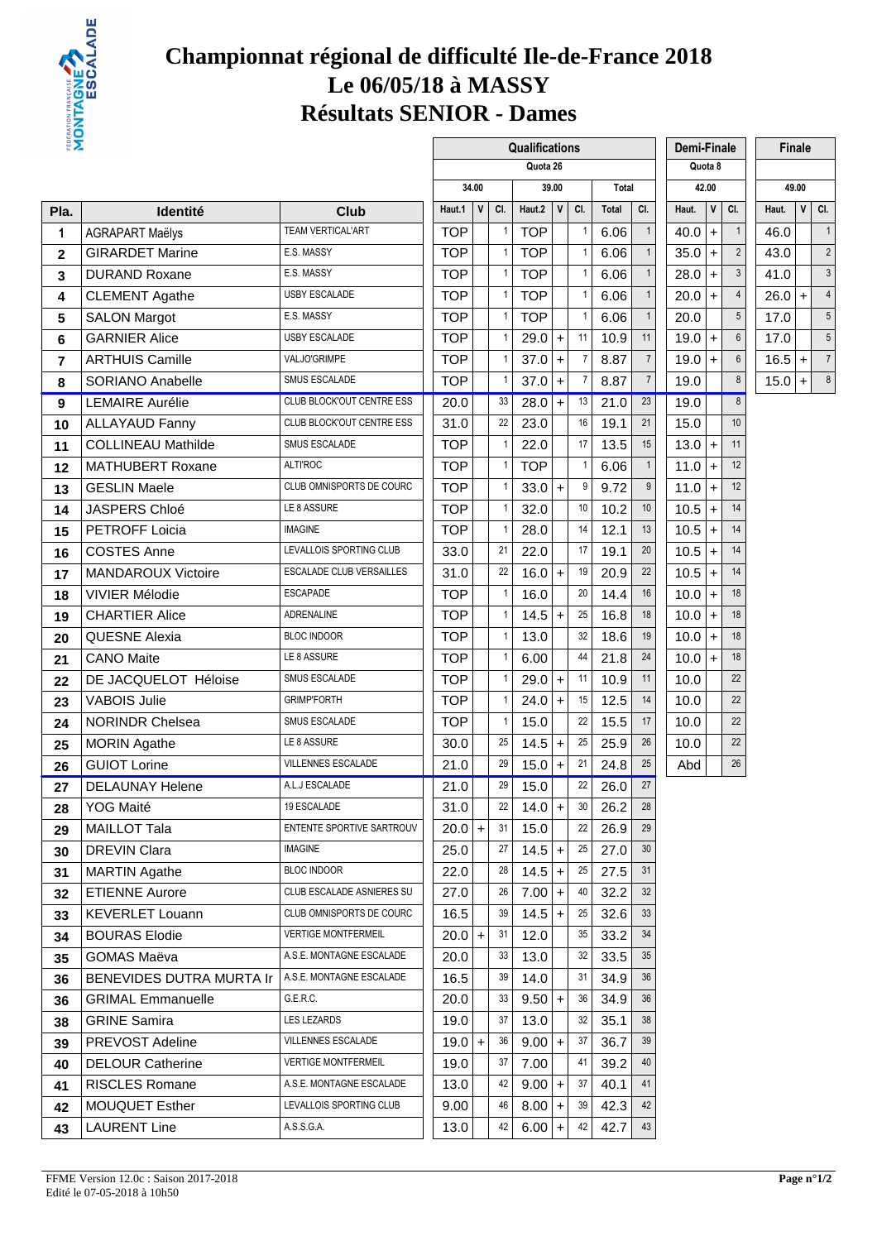

# **Championnat régional de difficulté Ile-de-France 2018 Le 06/05/18 à MASSY Résultats SENIOR - Dames**

| <b>ENDER</b>    |                           |                                 |            |              |              | Qualifications |              |                |       |                 | Demi-Finale |              |                |          | <b>Finale</b> |                     |
|-----------------|---------------------------|---------------------------------|------------|--------------|--------------|----------------|--------------|----------------|-------|-----------------|-------------|--------------|----------------|----------|---------------|---------------------|
|                 |                           |                                 |            |              |              | Quota 26       |              |                |       |                 |             | Quota 8      |                |          |               |                     |
|                 |                           |                                 |            | 34.00        |              |                | 39.00        |                | Total |                 |             | 42.00        |                |          | 49.00         |                     |
| Pla.            | <b>Identité</b>           | Club                            | Haut.1     | $\mathsf{V}$ | CI.          | Haut.2         | $\mathsf{V}$ | CI.            | Total | CI.             | Haut.       | $\mathsf{v}$ | CI.            | Haut.    | $\mathsf{V}$  | CI.                 |
| 1               | <b>AGRAPART Maëlys</b>    | <b>TEAM VERTICAL'ART</b>        | <b>TOP</b> |              | 1            | <b>TOP</b>     |              | $\mathbf{1}$   | 6.06  | $\mathbf{1}$    | 40.0        | $+$          | $\mathbf{1}$   | 46.0     |               | $\overline{1}$      |
| $\overline{2}$  | <b>GIRARDET Marine</b>    | E.S. MASSY                      | <b>TOP</b> |              | $\mathbf{1}$ | <b>TOP</b>     |              | $\mathbf{1}$   | 6.06  | $\mathbf{1}$    | 35.0        | $+$          | $\overline{2}$ | 43.0     |               | $\tilde{2}$         |
| 3               | <b>DURAND Roxane</b>      | E.S. MASSY                      | <b>TOP</b> |              | 1            | <b>TOP</b>     |              | $\mathbf{1}$   | 6.06  |                 | 28.0        | $\ddot{}$    | 3              | 41.0     |               | $\ddot{\mathbf{c}}$ |
| 4               | <b>CLEMENT Agathe</b>     | USBY ESCALADE                   | <b>TOP</b> |              | 1            | <b>TOP</b>     |              | $\overline{1}$ | 6.06  | $\mathbf{1}$    | 20.0        | $+$          | $\overline{4}$ | $26.0 +$ |               | $\overline{4}$      |
| $5\phantom{.0}$ | <b>SALON Margot</b>       | E.S. MASSY                      | <b>TOP</b> |              | 1            | <b>TOP</b>     |              | $\overline{1}$ | 6.06  | $\mathbf{1}$    | 20.0        |              | 5              | 17.0     |               | 5                   |
| 6               | <b>GARNIER Alice</b>      | <b>USBY ESCALADE</b>            | <b>TOP</b> |              | 1            | 29.0           | $\ddot{}$    | 11             | 10.9  | 11              | 19.0        | $+$          | $6\,$          | 17.0     |               | 5                   |
| $\overline{7}$  | <b>ARTHUIS Camille</b>    | VALJO'GRIMPE                    | <b>TOP</b> |              | $\mathbf{1}$ | 37.0           | $\ddot{}$    | $\overline{7}$ | 8.87  | $\overline{7}$  | 19.0        | $+$          | 6              | $16.5$ + |               | $\overline{7}$      |
| 8               | SORIANO Anabelle          | SMUS ESCALADE                   | <b>TOP</b> |              |              | 37.0           | $\ddot{}$    | $\overline{7}$ | 8.87  | $\overline{7}$  | 19.0        |              | 8              | $15.0 +$ |               | $\epsilon$          |
| 9               | <b>LEMAIRE Aurélie</b>    | CLUB BLOCK'OUT CENTRE ESS       | 20.0       |              | 33           | 28.0           | $\ddot{}$    | 13             | 21.0  | 23              | 19.0        |              | $\bf 8$        |          |               |                     |
| 10              | <b>ALLAYAUD Fanny</b>     | CLUB BLOCK'OUT CENTRE ESS       | 31.0       |              | 22           | 23.0           |              | 16             | 19.1  | 21              | 15.0        |              | 10             |          |               |                     |
| 11              | <b>COLLINEAU Mathilde</b> | <b>SMUS ESCALADE</b>            | <b>TOP</b> |              |              | 22.0           |              | 17             | 13.5  | 15              | 13.0        | $+$          | 11             |          |               |                     |
| 12              | <b>MATHUBERT Roxane</b>   | <b>ALTI'ROC</b>                 | <b>TOP</b> |              | $\mathbf{1}$ | <b>TOP</b>     |              | $\overline{1}$ | 6.06  | $\mathbf{1}$    | $11.0 +$    |              | 12             |          |               |                     |
| 13              | <b>GESLIN Maele</b>       | CLUB OMNISPORTS DE COURC        | <b>TOP</b> |              |              | 33.0           | $+$          | 9              | 9.72  | 9               | 11.0        | $+$          | 12             |          |               |                     |
| 14              | <b>JASPERS Chloé</b>      | LE 8 ASSURE                     | <b>TOP</b> |              | 1            | 32.0           |              | 10             | 10.2  | 10              | 10.5        | $+$          | 14             |          |               |                     |
| 15              | <b>PETROFF Loicia</b>     | <b>IMAGINE</b>                  | <b>TOP</b> |              | $\mathbf{1}$ | 28.0           |              | 14             | 12.1  | 13              | 10.5        | $+$          | 14             |          |               |                     |
| 16              | <b>COSTES Anne</b>        | LEVALLOIS SPORTING CLUB         | 33.0       |              | 21           | 22.0           |              | 17             | 19.1  | 20              | 10.5        | $+$          | 14             |          |               |                     |
| 17              | <b>MANDAROUX Victoire</b> | <b>ESCALADE CLUB VERSAILLES</b> | 31.0       |              | 22           | $16.0 +$       |              | 19             | 20.9  | 22              | 10.5        | $+$          | 14             |          |               |                     |
| 18              | <b>VIVIER Mélodie</b>     | <b>ESCAPADE</b>                 | <b>TOP</b> |              | 1            | 16.0           |              | 20             | 14.4  | 16              | 10.0        | $+$          | 18             |          |               |                     |
| 19              | <b>CHARTIER Alice</b>     | <b>ADRENALINE</b>               | <b>TOP</b> |              | $\mathbf{1}$ | 14.5           | $+$          | 25             | 16.8  | 18              | 10.0        | $+$          | 18             |          |               |                     |
| 20              | <b>QUESNE Alexia</b>      | <b>BLOC INDOOR</b>              | <b>TOP</b> |              | 1            | 13.0           |              | 32             | 18.6  | 19              | 10.0        | $+$          | 18             |          |               |                     |
| 21              | <b>CANO Maite</b>         | LE 8 ASSURE                     | <b>TOP</b> |              | -1           | 6.00           |              | 44             | 21.8  | 24              | 10.0        | $+$          | 18             |          |               |                     |
| 22              | DE JACQUELOT Héloise      | SMUS ESCALADE                   | <b>TOP</b> |              | 1            | $29.0 +$       |              | 11             | 10.9  | 11              | 10.0        |              | 22             |          |               |                     |
| 23              | <b>VABOIS Julie</b>       | <b>GRIMP'FORTH</b>              | <b>TOP</b> |              | 1            | 24.0           | $+$          | 15             | 12.5  | 14              | 10.0        |              | 22             |          |               |                     |
| 24              | <b>NORINDR Chelsea</b>    | SMUS ESCALADE                   | <b>TOP</b> |              | $\mathbf{1}$ | 15.0           |              | 22             | 15.5  | 17              | 10.0        |              | 22             |          |               |                     |
| 25              | <b>MORIN Agathe</b>       | LE 8 ASSURE                     | 30.0       |              | 25           | 14.5           | $\ddot{}$    | 25             | 25.9  | 26              | 10.0        |              | 22             |          |               |                     |
| 26              | <b>GUIOT Lorine</b>       | VILLENNES ESCALADE              | 21.0       |              | 29           | 15.0           | $+$          | 21             | 24.8  | 25              | Abd         |              | 26             |          |               |                     |
| 27              | <b>DELAUNAY Helene</b>    | A.L.J ESCALADE                  | 21.0       |              | 29           | 15.0           |              | 22             | 26.0  | 27              |             |              |                |          |               |                     |
| 28              | YOG Maité                 | 19 ESCALADE                     | 31.0       |              | 22           | $14.0 +$       |              | 30             | 26.2  | 28              |             |              |                |          |               |                     |
| 29              | <b>MAILLOT Tala</b>       | ENTENTE SPORTIVE SARTROUV       | $20.0 +$   |              | 31           | 15.0           |              | 22             | 26.9  | 29              |             |              |                |          |               |                     |
| 30              | <b>DREVIN Clara</b>       | <b>IMAGINE</b>                  | 25.0       |              | 27           | 14.5           | $\ddot{}$    | 25             | 27.0  | 30 <sup>°</sup> |             |              |                |          |               |                     |
| 31              | <b>MARTIN Agathe</b>      | <b>BLOC INDOOR</b>              | 22.0       |              | 28           | 14.5           | $\ddot{}$    | 25             | 27.5  | 31              |             |              |                |          |               |                     |
| 32              | <b>ETIENNE Aurore</b>     | CLUB ESCALADE ASNIERES SU       | 27.0       |              | 26           | $7.00 +$       |              | 40             | 32.2  | 32              |             |              |                |          |               |                     |
| 33              | <b>KEVERLET Louann</b>    | CLUB OMNISPORTS DE COURC        | 16.5       |              | 39           | $14.5$ +       |              | 25             | 32.6  | 33              |             |              |                |          |               |                     |
| 34              | <b>BOURAS Elodie</b>      | <b>VERTIGE MONTFERMEIL</b>      | $20.0 +$   |              | 31           | 12.0           |              | 35             | 33.2  | 34              |             |              |                |          |               |                     |
| 35              | GOMAS Maëva               | A.S.E. MONTAGNE ESCALADE        | 20.0       |              | 33           | 13.0           |              | 32             | 33.5  | 35              |             |              |                |          |               |                     |
| 36              | BENEVIDES DUTRA MURTA Ir  | A.S.E. MONTAGNE ESCALADE        | 16.5       |              | 39           | 14.0           |              | 31             | 34.9  | 36              |             |              |                |          |               |                     |
| 36              | <b>GRIMAL Emmanuelle</b>  | G.E.R.C.                        | 20.0       |              | 33           | $9.50 +$       |              | 36             | 34.9  | 36              |             |              |                |          |               |                     |
| 38              | <b>GRINE Samira</b>       | LES LEZARDS                     | 19.0       |              | 37           | 13.0           |              | 32             | 35.1  | 38              |             |              |                |          |               |                     |
| 39              | PREVOST Adeline           | VILLENNES ESCALADE              | $19.0 +$   |              | 36           | $9.00 +$       |              | 37             | 36.7  | 39              |             |              |                |          |               |                     |
| 40              | <b>DELOUR Catherine</b>   | <b>VERTIGE MONTFERMEIL</b>      | 19.0       |              | 37           | 7.00           |              | 41             | 39.2  | 40              |             |              |                |          |               |                     |
| 41              | <b>RISCLES Romane</b>     | A.S.E. MONTAGNE ESCALADE        | 13.0       |              | 42           | 9.00           | $+$          | 37             | 40.1  | 41              |             |              |                |          |               |                     |
| 42              | <b>MOUQUET Esther</b>     | LEVALLOIS SPORTING CLUB         | 9.00       |              | 46           | 8.00           | $\ddot{}$    | 39             | 42.3  | 42              |             |              |                |          |               |                     |
| 43              | <b>LAURENT Line</b>       | A.S.S.G.A.                      | 13.0       |              | 42           | $6.00 +$       |              | 42             | 42.7  | 43              |             |              |                |          |               |                     |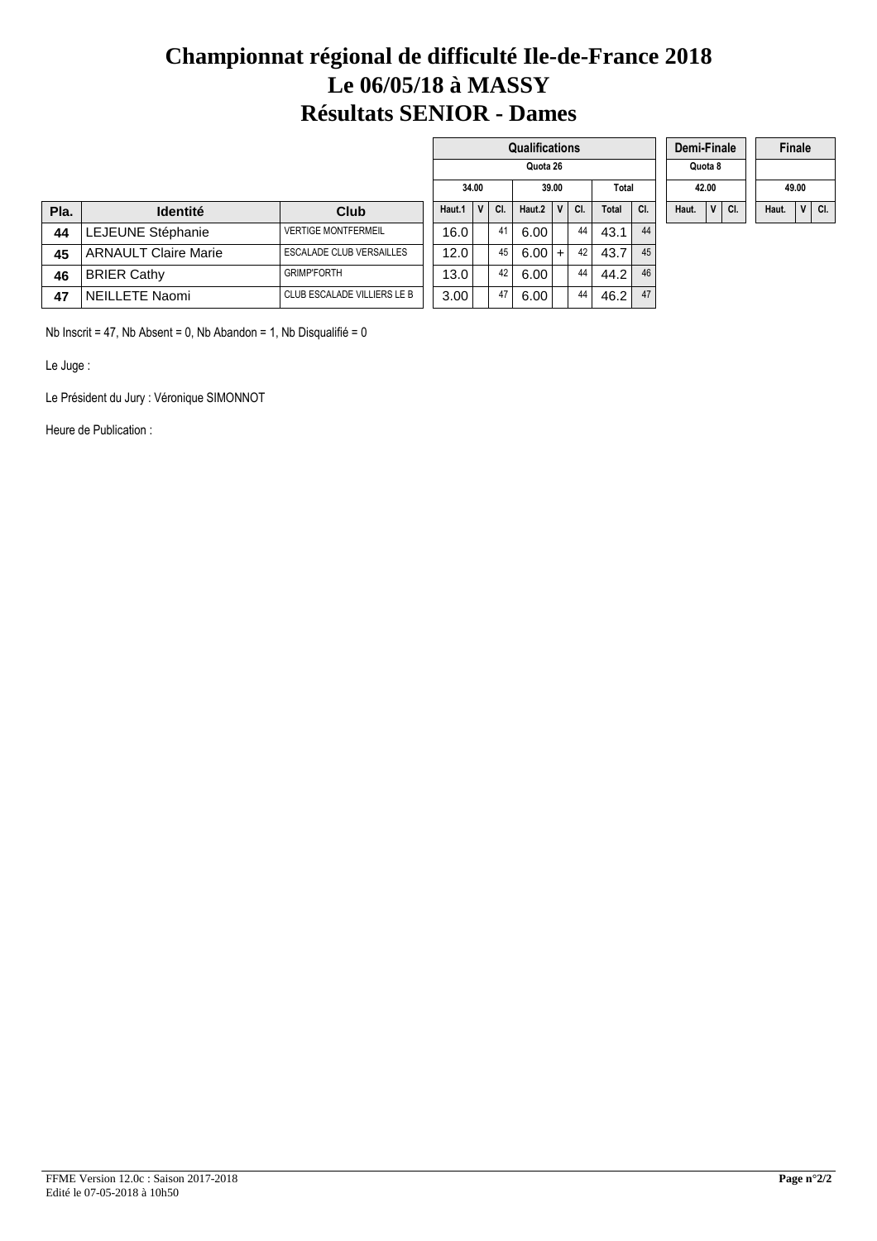# **Championnat régional de difficulté Ile-de-France 2018 Le 06/05/18 à MASSY Résultats SENIOR - Dames**

|      |                             |                             |        |       |     | <b>Qualifications</b> |              |     |       |     | Demi-Finale |                |     |       | <b>Finale</b>  |     |
|------|-----------------------------|-----------------------------|--------|-------|-----|-----------------------|--------------|-----|-------|-----|-------------|----------------|-----|-------|----------------|-----|
|      |                             |                             |        |       |     | Quota 26              |              |     |       |     |             | Quota 8        |     |       |                |     |
|      |                             |                             |        | 34.00 |     |                       | 39.00        |     | Total |     |             | 42.00          |     |       | 49.00          |     |
| Pla. | <b>Identité</b>             | Club                        | Haut.1 |       | CI. | Haut.2                | $\mathbf{v}$ | CI. | Total | CI. | Haut.       | V <sub>1</sub> | CI. | Haut. | V <sub>1</sub> | CI. |
| 44   | LEJEUNE Stéphanie           | <b>VERTIGE MONTFERMEIL</b>  | 16.0   |       | 41  | 6.00                  |              | 44  | 43.1  | 44  |             |                |     |       |                |     |
| 45   | <b>ARNAULT Claire Marie</b> | ESCALADE CLUB VERSAILLES    | 12.0   |       | 45  | 6.00                  | $+$          | 42  | 43.7  | 45  |             |                |     |       |                |     |
| 46   | <b>BRIER Cathy</b>          | <b>GRIMP'FORTH</b>          | 13.0   |       | 42  | 6.00                  |              | 44  | 44.2  | 46  |             |                |     |       |                |     |
| 47   | NEILLETE Naomi              | CLUB ESCALADE VILLIERS LE B | 3.00   |       | 47  | 6.00                  |              | 44  | 46.2  | 47  |             |                |     |       |                |     |

Nb Inscrit = 47, Nb Absent = 0, Nb Abandon = 1, Nb Disqualifié = 0

Le Juge :

Le Président du Jury : Véronique SIMONNOT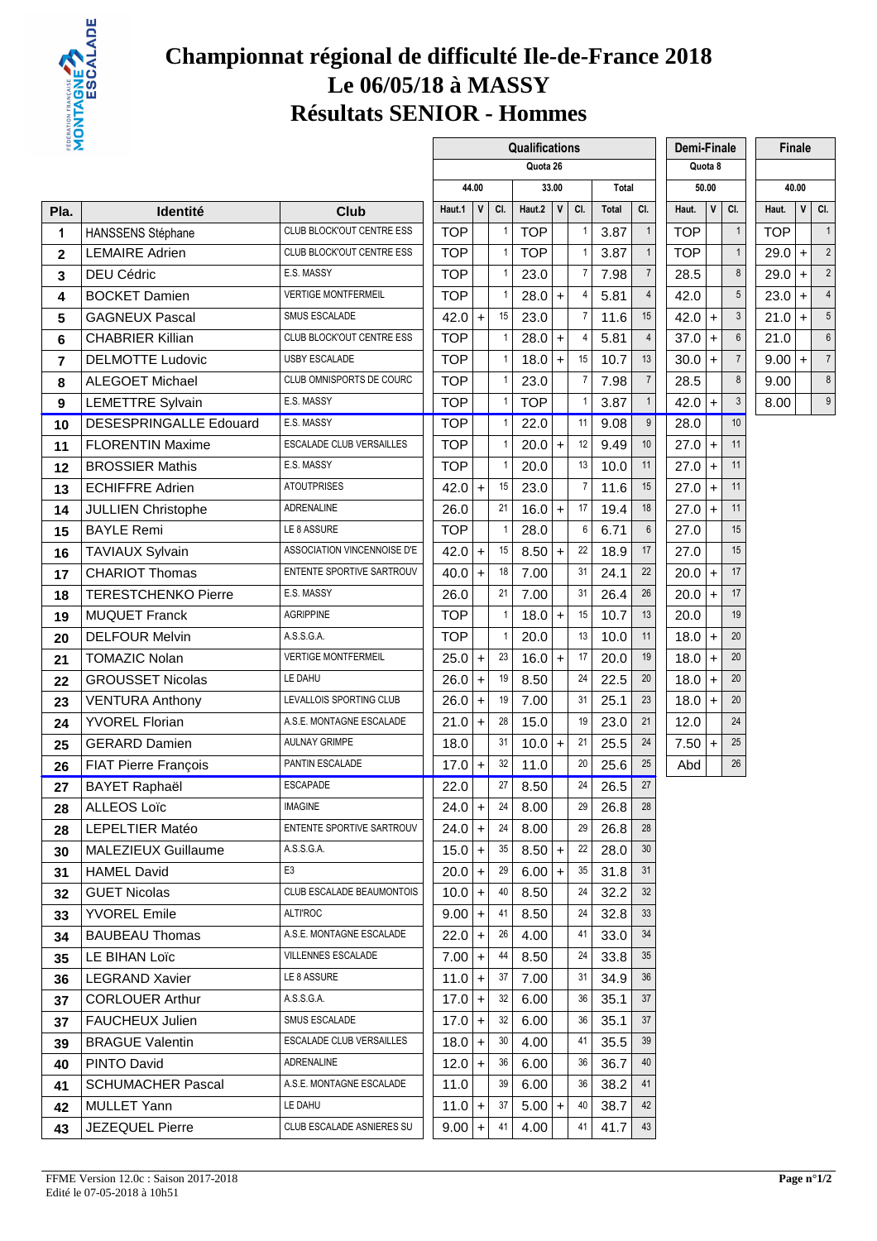

# **Championnat régional de difficulté Ile-de-France 2018 Le 06/05/18 à MASSY Résultats SENIOR - Hommes**

| <b>EDER</b>             |                               |                                  |                                                         |            |           |              | Qualifications |   |                |       |                 | <b>Demi-Finale</b> |              |                |            | Finale       |                |
|-------------------------|-------------------------------|----------------------------------|---------------------------------------------------------|------------|-----------|--------------|----------------|---|----------------|-------|-----------------|--------------------|--------------|----------------|------------|--------------|----------------|
|                         |                               |                                  | Quota 26<br>Quota 8<br>33.00<br>50.00<br>44.00<br>Total |            |           |              |                |   |                |       |                 |                    |              |                |            |              |                |
|                         |                               |                                  |                                                         |            |           |              |                |   |                |       |                 |                    |              |                |            | 40.00        |                |
| Pla.                    | <b>Identité</b>               | Club                             |                                                         | Haut.1     | V         | CI.          | Haut.2         | V | CI.            | Total | CI.             | Haut.              | $\mathsf{v}$ | CI.            | Haut.      | $\mathsf{V}$ | CI.            |
| 1                       | HANSSENS Stéphane             | CLUB BLOCK'OUT CENTRE ESS        |                                                         | <b>TOP</b> |           |              | <b>TOP</b>     |   | $\mathbf{1}$   | 3.87  | $\mathbf{1}$    | <b>TOP</b>         |              | $\mathbf{1}$   | <b>TOP</b> |              | $\overline{1}$ |
| $\mathbf 2$             | <b>LEMAIRE Adrien</b>         | CLUB BLOCK'OUT CENTRE ESS        |                                                         | <b>TOP</b> |           | 1            | <b>TOP</b>     |   | $\overline{1}$ | 3.87  | $\mathbf{1}$    | <b>TOP</b>         |              | $\mathbf{1}$   | $29.0 +$   |              | $\tilde{z}$    |
| $\mathbf{3}$            | <b>DEU Cédric</b>             | E.S. MASSY                       |                                                         | <b>TOP</b> |           |              | 23.0           |   | $\overline{7}$ | 7.98  | $\overline{7}$  | 28.5               |              | $\bf 8$        | $29.0 +$   |              | $\tilde{2}$    |
| 4                       | <b>BOCKET Damien</b>          | <b>VERTIGE MONTFERMEIL</b>       |                                                         | <b>TOP</b> |           | $\mathbf{1}$ | $28.0 +$       |   | $\overline{4}$ | 5.81  | $\overline{4}$  | 42.0               |              | $\overline{5}$ | $23.0 +$   |              | $\overline{4}$ |
| 5                       | <b>GAGNEUX Pascal</b>         | SMUS ESCALADE                    |                                                         | $42.0 +$   |           | 15           | 23.0           |   | $\overline{7}$ | 11.6  | 15              | 42.0               | $+$          | $\mathfrak{Z}$ | $21.0 +$   |              | 5              |
| 6                       | <b>CHABRIER Killian</b>       | CLUB BLOCK'OUT CENTRE ESS        |                                                         | <b>TOP</b> |           |              | $28.0 +$       |   | 4              | 5.81  | $\overline{4}$  | 37.0               | $+$          | $6\,$          | 21.0       |              | $\epsilon$     |
| $\overline{\mathbf{r}}$ | <b>DELMOTTE Ludovic</b>       | <b>USBY ESCALADE</b>             |                                                         | <b>TOP</b> |           | 1            | $18.0 +$       |   | 15             | 10.7  | 13              | 30.0               | $\ddot{}$    | $\overline{7}$ | $9.00$ +   |              | $\overline{7}$ |
| 8                       | <b>ALEGOET Michael</b>        | CLUB OMNISPORTS DE COURC         |                                                         | <b>TOP</b> |           | 1            | 23.0           |   | $\overline{7}$ | 7.98  | $\overline{7}$  | 28.5               |              | $\bf 8$        | 9.00       |              | $\epsilon$     |
| 9                       | <b>LEMETTRE Sylvain</b>       | E.S. MASSY                       |                                                         | <b>TOP</b> |           |              | <b>TOP</b>     |   | $\overline{1}$ | 3.87  | $\mathbf{1}$    | 42.0               | $+$          | $\mathfrak{Z}$ | 8.00       |              | $\mathbf{c}$   |
| 10                      | <b>DESESPRINGALLE Edouard</b> | E.S. MASSY                       |                                                         | <b>TOP</b> |           |              | 22.0           |   | 11             | 9.08  | 9               | 28.0               |              | 10             |            |              |                |
| 11                      | <b>FLORENTIN Maxime</b>       | ESCALADE CLUB VERSAILLES         |                                                         | <b>TOP</b> |           |              | $20.0$ +       |   | 12             | 9.49  | 10              | 27.0               | $\ddot{}$    | 11             |            |              |                |
| 12                      | <b>BROSSIER Mathis</b>        | E.S. MASSY                       |                                                         | <b>TOP</b> |           | $\mathbf{1}$ | 20.0           |   | 13             | 10.0  | 11              | 27.0               | $+$          | 11             |            |              |                |
| 13                      | <b>ECHIFFRE Adrien</b>        | <b>ATOUTPRISES</b>               |                                                         | 42.0       | $\ddot{}$ | 15           | 23.0           |   | $\overline{7}$ | 11.6  | 15              | 27.0               | $\ddot{}$    | 11             |            |              |                |
| 14                      | <b>JULLIEN Christophe</b>     | <b>ADRENALINE</b>                |                                                         | 26.0       |           | 21           | $16.0 +$       |   | 17             | 19.4  | 18              | 27.0               | $+$          | 11             |            |              |                |
| 15                      | <b>BAYLE Remi</b>             | LE 8 ASSURE                      |                                                         | <b>TOP</b> |           |              | 28.0           |   | 6              | 6.71  | $6\phantom{.}6$ | 27.0               |              | 15             |            |              |                |
| 16                      | TAVIAUX Sylvain               | ASSOCIATION VINCENNOISE D'E      |                                                         | $42.0 +$   |           | 15           | $8.50 +$       |   | 22             | 18.9  | 17              | 27.0               |              | 15             |            |              |                |
| 17                      | <b>CHARIOT Thomas</b>         | ENTENTE SPORTIVE SARTROUV        |                                                         | $40.0 +$   |           | 18           | 7.00           |   | 31             | 24.1  | 22              | 20.0               | $\ddot{}$    | 17             |            |              |                |
| 18                      | <b>TERESTCHENKO Pierre</b>    | E.S. MASSY                       |                                                         | 26.0       |           | 21           | 7.00           |   | 31             | 26.4  | 26              | 20.0               | $\ddot{}$    | 17             |            |              |                |
| 19                      | <b>MUQUET Franck</b>          | <b>AGRIPPINE</b>                 |                                                         | <b>TOP</b> |           | $\mathbf{1}$ | $18.0 +$       |   | 15             | 10.7  | 13              | 20.0               |              | 19             |            |              |                |
| 20                      | <b>DELFOUR Melvin</b>         | A.S.S.G.A.                       |                                                         | <b>TOP</b> |           |              | 20.0           |   | 13             | 10.0  | 11              | 18.0               | $+$          | 20             |            |              |                |
| 21                      | <b>TOMAZIC Nolan</b>          | <b>VERTIGE MONTFERMEIL</b>       |                                                         | 25.0       | $+$       | 23           | $16.0 +$       |   | 17             | 20.0  | 19              | 18.0               | $+$          | 20             |            |              |                |
| 22                      | <b>GROUSSET Nicolas</b>       | LE DAHU                          |                                                         | 26.0       | $\ddot{}$ | 19           | 8.50           |   | 24             | 22.5  | 20              | 18.0               | $+$          | 20             |            |              |                |
| 23                      | <b>VENTURA Anthony</b>        | LEVALLOIS SPORTING CLUB          |                                                         | 26.0       | $+$       | 19           | 7.00           |   | 31             | 25.1  | 23              | 18.0               | $+$          | 20             |            |              |                |
| 24                      | <b>YVOREL Florian</b>         | A.S.E. MONTAGNE ESCALADE         |                                                         | $21.0 +$   |           | 28           | 15.0           |   | 19             | 23.0  | 21              | 12.0               |              | 24             |            |              |                |
| 25                      | <b>GERARD Damien</b>          | AULNAY GRIMPE                    |                                                         | 18.0       |           | 31           | $10.0 +$       |   | 21             | 25.5  | 24              | 7.50               | $+$          | 25             |            |              |                |
| 26                      | <b>FIAT Pierre François</b>   | PANTIN ESCALADE                  |                                                         | 17.0       | $+$       | 32           | 11.0           |   | 20             | 25.6  | 25              | Abd                |              | 26             |            |              |                |
| 27                      | <b>BAYET Raphaël</b>          | <b>ESCAPADE</b>                  |                                                         | 22.0       |           | 27           | 8.50           |   | 24             | 26.5  | 27              |                    |              |                |            |              |                |
| 28                      | ALLEOS Loïc                   | <b>IMAGINE</b>                   |                                                         | 24.0       | $\ddot{}$ | 24           | 8.00           |   | 29             | 26.8  | 28              |                    |              |                |            |              |                |
| 28                      | <b>LEPELTIER Matéo</b>        | ENTENTE SPORTIVE SARTROUV        |                                                         | $24.0 +$   |           | 24           | 8.00           |   | 29             | 26.8  | 28              |                    |              |                |            |              |                |
| 30                      | MALEZIEUX Guillaume           | A.S.S.G.A.                       |                                                         | $15.0 +$   |           | 35           | $8.50 +$       |   | 22             | 28.0  | 30 <sup>°</sup> |                    |              |                |            |              |                |
| 31                      | <b>HAMEL David</b>            | E3                               |                                                         | $20.0$ +   |           | 29           | $6.00 +$       |   | 35             | 31.8  | 31              |                    |              |                |            |              |                |
| 32                      | <b>GUET Nicolas</b>           | <b>CLUB ESCALADE BEAUMONTOIS</b> |                                                         | $10.0 +$   |           | 40           | 8.50           |   | 24             | 32.2  | 32              |                    |              |                |            |              |                |
| 33                      | <b>YVOREL Emile</b>           | <b>ALTI'ROC</b>                  |                                                         | $9.00 +$   |           | 41           | 8.50           |   | 24             | 32.8  | 33              |                    |              |                |            |              |                |
| 34                      | <b>BAUBEAU Thomas</b>         | A.S.E. MONTAGNE ESCALADE         |                                                         | $22.0 +$   |           | 26           | 4.00           |   | 41             | 33.0  | 34              |                    |              |                |            |              |                |
| 35                      | LE BIHAN Loïc                 | VILLENNES ESCALADE               |                                                         | $7.00 +$   |           | 44           | 8.50           |   | 24             | 33.8  | 35              |                    |              |                |            |              |                |
| 36                      | <b>LEGRAND Xavier</b>         | LE 8 ASSURE                      |                                                         | $11.0 +$   |           | 37           | 7.00           |   | 31             | 34.9  | 36              |                    |              |                |            |              |                |
| 37                      | <b>CORLOUER Arthur</b>        | A.S.S.G.A.                       |                                                         | $17.0 +$   |           | 32           | 6.00           |   | 36             | 35.1  | 37              |                    |              |                |            |              |                |
| 37                      | <b>FAUCHEUX Julien</b>        | SMUS ESCALADE                    |                                                         | $17.0 +$   |           | 32           | 6.00           |   | 36             | 35.1  | 37              |                    |              |                |            |              |                |
| 39                      | <b>BRAGUE Valentin</b>        | ESCALADE CLUB VERSAILLES         |                                                         | $18.0 +$   |           | 30           | 4.00           |   | 41             | 35.5  | 39              |                    |              |                |            |              |                |
| 40                      | PINTO David                   | ADRENALINE                       |                                                         | $12.0 +$   |           | 36           | 6.00           |   | 36             | 36.7  | 40              |                    |              |                |            |              |                |
| 41                      | <b>SCHUMACHER Pascal</b>      | A.S.E. MONTAGNE ESCALADE         |                                                         | 11.0       |           | 39           | 6.00           |   | 36             | 38.2  | 41              |                    |              |                |            |              |                |
| 42                      | <b>MULLET Yann</b>            | LE DAHU                          |                                                         | $11.0 +$   |           | 37           | $5.00 +$       |   | 40             | 38.7  | 42              |                    |              |                |            |              |                |
| 43                      | <b>JEZEQUEL Pierre</b>        | CLUB ESCALADE ASNIERES SU        |                                                         | 9.00       | $+$       | 41           | 4.00           |   | 41             | 41.7  | 43              |                    |              |                |            |              |                |